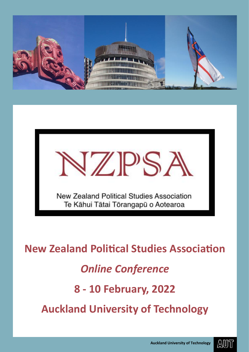



**New Zealand Political Studies Association** 

## *Online Conference*

## **8 - 10 February, 2022**

**Auckland University of Technology**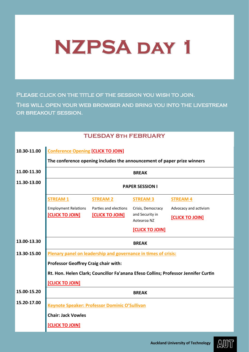## **NZPSA day 1**

PLEASE CLICK ON THE TITLE OF THE SESSION YOU WISH TO JOIN.

This will open your web browser and bring you into the livestream or breakout session.

## **TUESDAY 8th FEBRUARY**

| 10.30-11.00 | <b>Conference Opening [CLICK TO JOIN]</b>                               |                        |                                |                                                                                    |
|-------------|-------------------------------------------------------------------------|------------------------|--------------------------------|------------------------------------------------------------------------------------|
|             | The conference opening includes the announcement of paper prize winners |                        |                                |                                                                                    |
| 11.00-11.30 | <b>BREAK</b>                                                            |                        |                                |                                                                                    |
| 11.30-13.00 | <b>PAPER SESSION I</b>                                                  |                        |                                |                                                                                    |
|             | <b>STREAM1</b>                                                          | <b>STREAM 2</b>        | <b>STREAM 3</b>                | <b>STREAM 4</b>                                                                    |
|             | <b>Employment Relations</b>                                             | Parties and elections  | Crisis, Democracy              | Advocacy and activism                                                              |
|             | <b>[CLICK TO JOIN]</b>                                                  | <b>[CLICK TO JOIN]</b> | and Security in<br>Aotearoa NZ | <b>[CLICK TO JOIN]</b>                                                             |
|             |                                                                         |                        | <b>[CLICK TO JOIN]</b>         |                                                                                    |
| 13.00-13.30 |                                                                         |                        | <b>BREAK</b>                   |                                                                                    |
| 13.30-15.00 | Plenary panel on leadership and governance in times of crisis:          |                        |                                |                                                                                    |
|             | <b>Professor Geoffrey Craig chair with:</b>                             |                        |                                |                                                                                    |
|             |                                                                         |                        |                                | Rt. Hon. Helen Clark; Councillor Fa'anana Efeso Collins; Professor Jennifer Curtin |
|             | [CLICK TO JOIN]                                                         |                        |                                |                                                                                    |
| 15.00-15.20 | <b>BREAK</b>                                                            |                        |                                |                                                                                    |
| 15.20-17.00 | <b>Keynote Speaker: Professor Dominic O'Sullivan</b>                    |                        |                                |                                                                                    |
|             | <b>Chair: Jack Vowles</b>                                               |                        |                                |                                                                                    |
|             | <b>[CLICK TO JOIN]</b>                                                  |                        |                                |                                                                                    |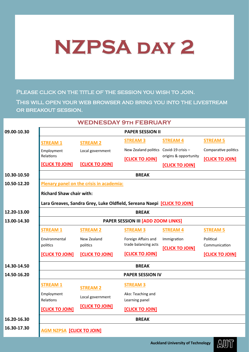## **NZPSA day 2**

PLEASE CLICK ON THE TITLE OF THE SESSION YOU WISH TO JOIN.

This will open your web browser and bring you into the livestream or breakout session.

| <b>WEDNESDAY 9TH FEBRUARY</b> |                                           |                                                                         |                                        |                        |                        |
|-------------------------------|-------------------------------------------|-------------------------------------------------------------------------|----------------------------------------|------------------------|------------------------|
| 09.00-10.30                   | <b>PAPER SESSION II</b>                   |                                                                         |                                        |                        |                        |
|                               | <b>STREAM 1</b>                           | <b>STREAM 2</b>                                                         | <b>STREAM 3</b>                        | <b>STREAM 4</b>        | <b>STREAM 5</b>        |
|                               | Employment                                | Local government                                                        | New Zealand politics Covid-19 crisis - |                        | Comparative politics   |
|                               | Relations                                 |                                                                         | <b>[CLICK TO JOIN]</b>                 | origins & opportunity  | <b>[CLICK TO JOIN]</b> |
|                               | <b>[CLICK TO JOIN]</b>                    | <b>[CLICK TO JOIN]</b>                                                  |                                        | <b>[CLICK TO JOIN]</b> |                        |
| 10.30-10.50                   |                                           |                                                                         | <b>BREAK</b>                           |                        |                        |
| 10.50-12.20                   |                                           | Plenary panel on the crisis in academia:                                |                                        |                        |                        |
|                               | <b>Richard Shaw chair with:</b>           |                                                                         |                                        |                        |                        |
|                               |                                           | Lara Greaves, Sandra Grey, Luke Oldfield, Sereana Naepi [CLICK TO JOIN] |                                        |                        |                        |
| 12.20-13.00                   | <b>BREAK</b>                              |                                                                         |                                        |                        |                        |
| 13.00-14.30                   | <b>PAPER SESSION III [ADD ZOOM LINKS]</b> |                                                                         |                                        |                        |                        |
|                               | <b>STREAM 1</b>                           | <b>STREAM 2</b>                                                         | <b>STREAM 3</b>                        | <b>STREAM 4</b>        | <b>STREAM 5</b>        |
|                               | Environmental                             | New Zealand                                                             | Foreign Affairs and                    | Immigration            | Political              |
|                               | politics                                  | politics                                                                | trade balancing acts                   | [CLICK TO JOIN]        | Communication          |
|                               | <b>[CLICK TO JOIN]</b>                    | <b>[CLICK TO JOIN]</b>                                                  | [CLICK TO JOIN]                        |                        | <b>[CLICK TO JOIN]</b> |
| 14.30-14.50                   |                                           |                                                                         | <b>BREAK</b>                           |                        |                        |
| 14.50-16.20                   |                                           |                                                                         | <b>PAPER SESSION IV</b>                |                        |                        |
|                               | <b>STREAM 1</b>                           | <b>STREAM 2</b>                                                         | <b>STREAM 3</b>                        |                        |                        |
|                               | Employment                                | Local government                                                        | Ako: Teaching and                      |                        |                        |
|                               | Relations                                 | <b>[CLICK TO JOIN]</b>                                                  | Learning panel                         |                        |                        |
|                               | <b>[CLICK TO JOIN]</b>                    |                                                                         | <b>[CLICK TO JOIN]</b>                 |                        |                        |
| 16.20-16.30                   |                                           |                                                                         | <b>BREAK</b>                           |                        |                        |
| 16.30-17.30                   | <b>AGM NZPSA [CLICK TO JOIN]</b>          |                                                                         |                                        |                        |                        |
|                               |                                           |                                                                         |                                        |                        |                        |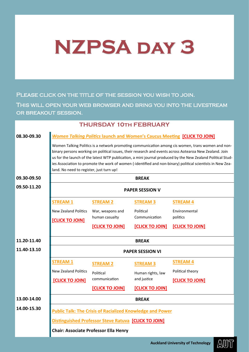# **NZPSA day 3**

PLEASE CLICK ON THE TITLE OF THE SESSION YOU WISH TO JOIN.

This will open your web browser and bring you into the livestream OR BREAKOUT SESSION.

|             |                                                                                                                                                                                                                                                                                                                                                                                                                                                                                       | <b>THURSDAY 10TH FEBRUARY</b>                                    |                        |                        |
|-------------|---------------------------------------------------------------------------------------------------------------------------------------------------------------------------------------------------------------------------------------------------------------------------------------------------------------------------------------------------------------------------------------------------------------------------------------------------------------------------------------|------------------------------------------------------------------|------------------------|------------------------|
| 08.30-09.30 | <b>Women Talking Politics launch and Women's Caucus Meeting [CLICK TO JOIN]</b>                                                                                                                                                                                                                                                                                                                                                                                                       |                                                                  |                        |                        |
|             | Women Talking Politics is a network promoting communication among cis women, trans women and non-<br>binary persons working on political issues, their research and events across Aotearoa New Zealand. Join<br>us for the launch of the latest WTP publication, a mini journal produced by the New Zealand Political Stud-<br>ies Association to promote the work of women (-identified and non-binary) political scientists in New Zea-<br>land. No need to register, just turn up! |                                                                  |                        |                        |
| 09.30-09.50 |                                                                                                                                                                                                                                                                                                                                                                                                                                                                                       |                                                                  | <b>BREAK</b>           |                        |
| 09.50-11.20 | <b>PAPER SESSION V</b>                                                                                                                                                                                                                                                                                                                                                                                                                                                                |                                                                  |                        |                        |
|             | <b>STREAM1</b>                                                                                                                                                                                                                                                                                                                                                                                                                                                                        | <b>STREAM 2</b>                                                  | <b>STREAM 3</b>        | <b>STREAM 4</b>        |
|             | <b>New Zealand Politics</b>                                                                                                                                                                                                                                                                                                                                                                                                                                                           | War, weapons and                                                 | Political              | Environmental          |
|             | <b>[CLICK TO JOIN]</b>                                                                                                                                                                                                                                                                                                                                                                                                                                                                | human casualty                                                   | Communication          | politics               |
|             |                                                                                                                                                                                                                                                                                                                                                                                                                                                                                       | [CLICK TO JOIN]                                                  | <b>[CLICK TO JOIN]</b> | <b>[CLICK TO JOIN]</b> |
| 11.20-11.40 | <b>BREAK</b>                                                                                                                                                                                                                                                                                                                                                                                                                                                                          |                                                                  |                        |                        |
| 11.40-13.10 | <b>PAPER SESSION VI</b>                                                                                                                                                                                                                                                                                                                                                                                                                                                               |                                                                  |                        |                        |
|             | <b>STREAM1</b>                                                                                                                                                                                                                                                                                                                                                                                                                                                                        | <b>STREAM 2</b>                                                  | <b>STREAM 3</b>        | <b>STREAM 4</b>        |
|             | <b>New Zealand Politics</b>                                                                                                                                                                                                                                                                                                                                                                                                                                                           | Political                                                        | Human rights, law      | Political theory       |
|             | [CLICK TO JOIN]                                                                                                                                                                                                                                                                                                                                                                                                                                                                       | communication                                                    | and justice            | [CLICK TO JOIN]        |
|             |                                                                                                                                                                                                                                                                                                                                                                                                                                                                                       | [CLICK TO JOIN]                                                  | [CLICK TO JOIN]        |                        |
| 13.00-14.00 |                                                                                                                                                                                                                                                                                                                                                                                                                                                                                       |                                                                  | <b>BREAK</b>           |                        |
| 14.00-15.30 |                                                                                                                                                                                                                                                                                                                                                                                                                                                                                       | <b>Public Talk: The Crisis of Racialized Knowledge and Power</b> |                        |                        |
|             |                                                                                                                                                                                                                                                                                                                                                                                                                                                                                       | <b>Distinguished Professor Steve Ratuva [CLICK TO JOIN]</b>      |                        |                        |
|             | <b>Chair: Associate Professor Ella Henry</b>                                                                                                                                                                                                                                                                                                                                                                                                                                          |                                                                  |                        |                        |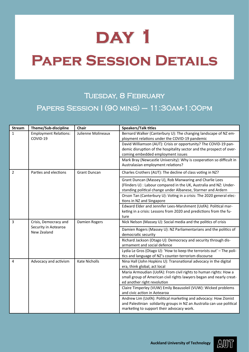## **Paper Session Details**

## TUESDAY, 8 FEBRUARY Papers Session I (90 mins) – 11:30am-1:00pm

| <b>Stream</b> | Theme/Sub-discipline                                         | Chair               | <b>Speakers/Talk titles</b>                                                                                                                                                                   |
|---------------|--------------------------------------------------------------|---------------------|-----------------------------------------------------------------------------------------------------------------------------------------------------------------------------------------------|
| $\mathbf{1}$  | <b>Employment Relations:</b><br>COVID-19                     | Julienne Molineaux  | Bernard Walker (Canterbury U): The changing landscape of NZ em-<br>ployment relations under the COVID-19 pandemic                                                                             |
|               |                                                              |                     | David Williamson (AUT): Crisis or opportunity? The COVID-19 pan-<br>demic disruption of the hospitality sector and the prospect of over-<br>coming embedded employment issues                 |
|               |                                                              |                     | Mark Bray (Newcastle University): Why is cooperation so difficult in<br>Australasian employment relations?                                                                                    |
| 2             | Parties and elections                                        | <b>Grant Duncan</b> | Charles Crothers (AUT): The decline of class voting in NZ?                                                                                                                                    |
|               |                                                              |                     | Grant Duncan (Massey U), Rob Manwaring and Charlie Lees<br>(Flinders U) : Labour compared in the UK, Australia and NZ: Under-<br>standing political change under Albanese, Starmer and Ardern |
|               |                                                              |                     | Orson Tan (Canterbury U): Voting in a crisis: The 2020 general elec-<br>tions in NZ and Singapore                                                                                             |
|               |                                                              |                     | Edward Elder and Jennifer Lees-Marshment (UofA): Political mar-<br>keting in a crisis: Lessons from 2020 and predictions from the fu-<br>ture                                                 |
| 3             | Crisis, Democracy and<br>Security in Aotearoa<br>New Zealand | Damien Rogers       | Nick Nelson (Massey U): Social media and the politics of crisis                                                                                                                               |
|               |                                                              |                     | Damien Rogers (Massey U): NZ Parliamentarians and the politics of<br>democratic security                                                                                                      |
|               |                                                              |                     | Richard Jackson (Otago U): Democracy and security through dis-<br>armament and social defence                                                                                                 |
|               |                                                              |                     | Lydia Le Gros (Otago U): 'How to keep the terrorists out' - The poli-<br>tics and language of NZ's counter-terrorism discourse                                                                |
| 4             | Advocacy and activism                                        | Kate Nicholls       | Nina Hall (John Hopkins U): Transnational advocacy in the digital<br>era, think global, act local                                                                                             |
|               |                                                              |                     | Maria Armoudian (UofA): From civil rights to human rights: How a<br>small group of American civil rights lawyers began and nearly creat-<br>ed another right revolution                       |
|               |                                                              |                     | Claire Timperley (VUW) Emily Beausoleil (VUW): Wicked problems<br>and civic action in Aotearoa                                                                                                |
|               |                                                              |                     | Andrew Lim (UofA): Political marketing and advocacy: How Zionist<br>and Palestinian solidarity groups in NZ an Australia can use political<br>marketing to support their advocacy work.       |

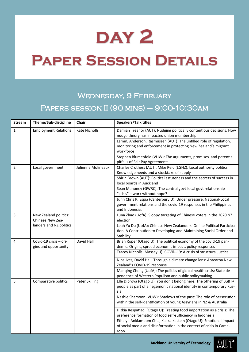## **Paper Session Details**

## Wednesday, 9 February Papers session II (90 mins) – 9:00-10:30am

| <b>Stream</b>  | Theme/Sub-discipline                           | <b>Chair</b>         | <b>Speakers/Talk titles</b>                                                                                                                                |
|----------------|------------------------------------------------|----------------------|------------------------------------------------------------------------------------------------------------------------------------------------------------|
| $\mathbf{1}$   | <b>Employment Relations</b>                    | <b>Kate Nicholls</b> | Damian Treanor (AUT): Nudging politically contentious decisions: How<br>nudge theory has impacted union membership                                         |
|                |                                                |                      | Lamm, Anderson, Rasmussen (AUT): The unfilled role of regulation,<br>monitoring and enforcement in protecting New Zealand's migrant<br>workforce           |
|                |                                                |                      | Stephen Blumenfeld (VUW): The arguments, promises, and potential<br>pitfalls of Fair Pay Agreements                                                        |
| $\overline{2}$ | Local government                               | Julienne Molineaux   | Charles Crothers (AUT), Mike Reid (LGNZ): Local authority politics:<br>Knowledge needs and a stocktake of supply                                           |
|                |                                                |                      | Shirin Brown (AUT): Political astuteness and the secrets of success in<br>local boards in Auckland                                                         |
|                |                                                |                      | Sean Mahoney (GWRC): The central govt-local govt relationship<br>"crisis" - work without hope?                                                             |
|                |                                                |                      | Juhn Chris P. Espia (Canterbury U): Under pressure: National-Local<br>government relations and the covid-19 responses in the Philippines<br>and Indonesia. |
| $\overline{3}$ | New Zealand politics:<br>Chinese New Zea-      |                      | Luna Zhao (UofA): Sloppy targeting of Chinese voters in the 2020 NZ<br>election                                                                            |
|                | landers and NZ politics                        |                      | Leah Yu Du (UofA): Chinese New Zealanders' Online Political Participa-<br>tion: A Contribution to Developing and Maintaining Social Order and<br>Stability |
| 4              | Covid-19 crisis - ori-<br>gins and opportunity | David Hall           | Brian Roper (Otago U): The political economy of the covid-19 pan-<br>demic: Origins, spread economic impact, policy responses                              |
|                |                                                |                      | Tracey Nicholls (Massey U): COVID-19: A crisis of structural justice                                                                                       |
|                |                                                |                      | Nina Ives, David Hall: Through a climate change lens: Aotearoa New<br>Zealand's COVID-19 response                                                          |
|                |                                                |                      | Manqing Cheng (UofA): The politics of global health crisis: State de-<br>pendence of Western Populism and public policymaking                              |
| 5              | Comparative politics                           | Peter Skilling       | Elle Dibrova (Otago U): You don't belong here: The othering of LGBT+<br>people as part of a hegemonic national identity in contemporary Rus-<br>sia        |
|                |                                                |                      | Nashie Shamoon (VUW): Shadows of the past: The role of persecution<br>within the self-identification of young Assyrians in NZ & Australia                  |
|                |                                                |                      | Hizkia Respatiadi (Otago U): Treating food importation as a crisis: The<br>preference formation of food self-sufficiency in Indonesia                      |
|                |                                                |                      | Ethelyn Ankiambom Chia, Kalika Kastein (Otago U): Emotional impact<br>of social media and disinformation in the context of crisis in Came-<br>roon         |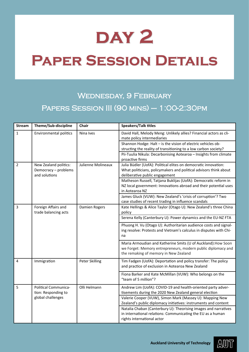## **Paper Session Details**

## WEDNESDAY, 9 FEBRUARY Papers Session III (90 mins) – 1:00-2:30pm

| <b>Stream</b>  | Theme/Sub-discipline                                           | Chair                 | <b>Speakers/Talk titles</b>                                                                                                                                            |
|----------------|----------------------------------------------------------------|-----------------------|------------------------------------------------------------------------------------------------------------------------------------------------------------------------|
| $\mathbf{1}$   | <b>Environmental politics</b>                                  | Nina Ives             | David Hall, Melody Meng: Unlikely allies? Financial actors as cli-<br>mate policy intermediaries                                                                       |
|                |                                                                |                       | Shannon Hodge: Halt - is the vision of electric vehicles ob-<br>structing the reality of transitioning to a low carbon society?                                        |
|                |                                                                |                       | Pii-Tuulia Nikula: Decarbonising Aotearoa - Insights from climate<br>proactive firms                                                                                   |
| $\overline{2}$ | New Zealand politics:<br>Democracy - problems<br>and solutions | Julienne Molineaux    | Julia Büdler (UofA): Political elites on democratic innovation:<br>What politicians, policymakers and political advisors think about<br>deliberative public engagement |
|                |                                                                |                       | Matheson Russell, Tatjana Buklijas (UofA): Democratic reform in<br>NZ local government: Innovations abroad and their potential uses<br>in Aotearoa NZ                  |
|                |                                                                |                       | James Gluck (VUW): New Zealand's 'crisis of corruption'? Two<br>case studies of recent trading in influence scandals                                                   |
| 3              | Foreign Affairs and<br>trade balancing acts                    | Damien Rogers         | Kate Hellings & Alice Taylor (Otago U): New Zealand's three China<br>policy                                                                                            |
|                |                                                                |                       | Serena Kelly (Canterbury U): Power dynamics and the EU-NZ FTA                                                                                                          |
|                |                                                                |                       | Phuong H. Vu (Otago U): Authoritarian audience costs and signal-<br>ing resolve: Protests and Vietnam's calculus in disputes with Chi-<br>na                           |
|                |                                                                |                       | Maria Armoudian and Katherine Smits (U of Auckland): How Soon<br>we Forget: Memory entrepreneurs, modern public diplomacy and<br>the remaking of memory in New Zealand |
| 4              | Immigration                                                    | <b>Peter Skilling</b> | Tim Fadgen (UofA): Deportation and policy transfer: The policy<br>and practice of exclusion in Aotearoa New Zealand                                                    |
|                |                                                                |                       | Fiona Barker and Kate McMillan (VUW): Who belongs on the<br>"team of 5 million"?                                                                                       |
| 5              | Political Communica-<br>tion: Responding to                    | Olli Helmann          | Andrew Lim (UofA): COVID-19 and health-oriented party adver-<br>tisements during the 2020 New Zealand general election                                                 |
|                | global challenges                                              |                       | Valerie Cooper (VUW), Simon Mark (Massey U): Mapping New<br>Zealand's public diplomacy initiatives: instruments and content                                            |
|                |                                                                |                       | Natalia Chaban (Canterbury U): Theorising images and narratives<br>in international relations: Communicating the EU as a human<br>rights international actor           |

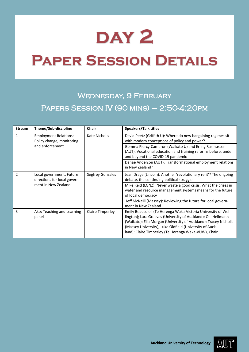## **Paper Session Details**

## WEDNESDAY, 9 FEBRUARY Papers Session IV (90 mins) – 2:50-4:20pm

| <b>Stream</b> | Theme/Sub-discipline                                                            | <b>Chair</b>     | Speakers/Talk titles                                                                                                                                                                                                                                                                                                    |
|---------------|---------------------------------------------------------------------------------|------------------|-------------------------------------------------------------------------------------------------------------------------------------------------------------------------------------------------------------------------------------------------------------------------------------------------------------------------|
| 1             | <b>Employment Relations:</b><br>Policy change, monitoring<br>and enforcement    | Kate Nicholls    | David Peetz (Griffith U): Where do new bargaining regimes sit<br>with modern conceptions of policy and power?                                                                                                                                                                                                           |
|               |                                                                                 |                  | Gemma Piercy-Cameron (Waikato U) and Erling Rasmussen<br>(AUT): Vocational education and training reforms before, under<br>and beyond the COVID-19 pandemic                                                                                                                                                             |
|               |                                                                                 |                  | Danaë Anderson (AUT): Transformational employment relations<br>in New Zealand?                                                                                                                                                                                                                                          |
| $\mathcal{P}$ | Local government: Future<br>directions for local govern-<br>ment in New Zealand | Segfrey Gonzales | Jean Drage (Lincoln): Another 'revolutionary refit'? The ongoing<br>debate, the continuing political struggle                                                                                                                                                                                                           |
|               |                                                                                 |                  | Mike Reid (LGNZ): Never waste a good crisis: What the crises in<br>water and resource management systems means for the future<br>of local democracy                                                                                                                                                                     |
|               |                                                                                 |                  | Jeff McNeill (Massey): Reviewing the future for local govern-<br>ment in New Zealand                                                                                                                                                                                                                                    |
| 3             | Ako: Teaching and Learning<br>panel                                             | Claire Timperley | Emily Beausoleil (Te Herenga Waka-Victoria University of Wel-<br>lington); Lara Greaves (University of Auckland); Olli Hellmann<br>(Waikato); Ella Morgan (University of Auckland); Tracey Nicholls<br>(Massey University); Luke Oldfield (University of Auck-<br>land); Claire Timperley (Te Herenga Waka-VUW), Chair. |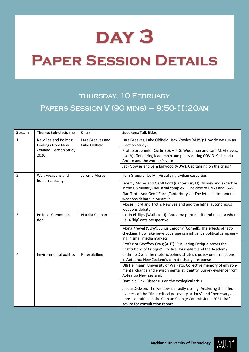## **day 3**

## **Paper Session Details**

## thursday, 10 February Papers Session V (90 mins) – 9:50-11:20am

| <b>Stream</b>  | Theme/Sub-discipline                              | <b>Chair</b>                      | <b>Speakers/Talk titles</b>                                                                                                                                                                                                                      |
|----------------|---------------------------------------------------|-----------------------------------|--------------------------------------------------------------------------------------------------------------------------------------------------------------------------------------------------------------------------------------------------|
| $\mathbf{1}$   | <b>New Zealand Politics:</b><br>Findings from New | Lara Greaves and<br>Luke Oldfield | Lara Greaves, Luke Oldfield, Jack Vowles (VUW): How do we run an<br>Election Study?                                                                                                                                                              |
|                | Zealand Election Study<br>2020                    |                                   | Professor Jennifer Curtin (p), V.K.G. Woodman and Lara M. Greaves,<br>(UofA): Gendering leadership and policy during COVID19: Jacinda<br>Ardern and the women's vote                                                                             |
|                |                                                   |                                   | Jack Vowles and Sam Bigwood (VUW): Capitalising on the crisis?                                                                                                                                                                                   |
| $\overline{2}$ | War, weapons and                                  | Jeremy Moses                      | Tom Gregory (UofA): Visualising civilian casualties                                                                                                                                                                                              |
|                | human casualty                                    |                                   | Jeremy Moses and Geoff Ford (Canterbury U): Money and expertise<br>in the US military-Industrial complex - The case of CNAs and LAWS                                                                                                             |
|                |                                                   |                                   | Sian Troth And Geoff Ford (Canterbury U): The lethal autonomous<br>weapons debate in Australia                                                                                                                                                   |
|                |                                                   |                                   | Moses, Ford and Troth: New Zealand and the lethal autonomous<br>weapons debate                                                                                                                                                                   |
| 3              | Political Communica-<br>tion                      | Natalia Chaban                    | Justin Phillips (Waikato U): Aotearoa print media and tangata when-<br>ua: A 'big' data perspective                                                                                                                                              |
|                |                                                   |                                   | Mona Krewel (VUW), Julius Lagodny (Cornell): The effects of fact-<br>checking: how fake news coverage can influence political campaign-<br>ing in small media markets                                                                            |
|                |                                                   |                                   | Professor Geoffrey Craig (AUT): Evaluating Critique across the<br>'Institutions of Critique': Politics, Journalism and the Academy                                                                                                               |
| $\overline{4}$ | <b>Environmental politics</b>                     | Peter Skilling                    | Cathrine Dyer: The rhetoric behind strategic policy underreactions<br>in Aotearoa New Zealand's climate change response                                                                                                                          |
|                |                                                   |                                   | Olli Hellmann, University of Waikato, Collective memory of environ-<br>mental change and environmentalist identity: Survey evidence from<br>Aotearoa New Zealand.                                                                                |
|                |                                                   |                                   | Dominic Pink: Dissensus on the ecological crisis                                                                                                                                                                                                 |
|                |                                                   |                                   | Jacqui Dickson: The window is rapidly closing: Analysing the effec-<br>tiveness of the "time-critical necessary actions" and "necessary ac-<br>tions" identified in the Climate Change Commission's 2021 draft<br>advice for consultation report |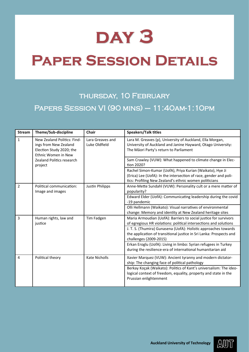## **day 3**

## **Paper Session Details**

## thursday, 10 February Papers Session VI (90 mins) – 11:40am-1:10pm

| <b>Stream</b>  | Theme/Sub-discipline                                                                                    | Chair                             | <b>Speakers/Talk titles</b>                                                                                                                                                                                                                                                     |
|----------------|---------------------------------------------------------------------------------------------------------|-----------------------------------|---------------------------------------------------------------------------------------------------------------------------------------------------------------------------------------------------------------------------------------------------------------------------------|
| $\mathbf{1}$   | New Zealand Politics: Find-<br>ings from New Zealand<br>Election Study 2020; the<br>Ethnic Women in New | Lara Greaves and<br>Luke Oldfield | Lara M. Greaves (p), University of Auckland, Ella Morgan,<br>University of Auckland and Janine Hayward, Otago University:<br>The Māori Party's return to Parliament                                                                                                             |
|                | <b>Zealand Politics research</b><br>project                                                             |                                   | Sam Crawley (VUW): What happened to climate change in Elec-<br>tion 2020?                                                                                                                                                                                                       |
|                |                                                                                                         |                                   | Rachel Simon-Kumar (UofA), Priya Kurian (Waikato), Hye Ji<br>(Erica) Lee (UofA): In the intersection of race, gender and poli-<br>tics: Profiling New Zealand's ethnic women politicians                                                                                        |
| $\overline{2}$ | Political communication:<br>Image and images                                                            | <b>Justin Philipps</b>            | Anne-Mette Sundahl (VUW): Personality cult or a mere matter of<br>popularity?                                                                                                                                                                                                   |
|                |                                                                                                         |                                   | Edward Elder (UofA): Communicating leadership during the covid<br>-19 pandemic                                                                                                                                                                                                  |
|                |                                                                                                         |                                   | Olli Hellmann (Waikato): Visual narratives of environmental<br>change: Memory and identity at New Zealand heritage sites                                                                                                                                                        |
| 3              | Human rights, law and<br>justice                                                                        | Tim Fadgen                        | Maria Armoudian (UofA): Barriers to social justice for survivors<br>of egregious HR violations: political intersections and solutions                                                                                                                                           |
|                |                                                                                                         |                                   | J. T. S. (Thumira) Gunasena (UofA): Holistic approaches towards<br>the application of transitional justice in Sri Lanka: Prospects and<br>challenges (2009-2015)                                                                                                                |
|                |                                                                                                         |                                   | Erkan Eroglu (UofA): Living in limbo: Syrian refugees in Turkey<br>during the resilience-era of international humanitarian aid                                                                                                                                                  |
| 4              | Political theory                                                                                        | <b>Kate Nicholls</b>              | Xavier Marquez (VUW): Ancient tyranny and modern dictator-<br>ship: The changing face of political pathology<br>Berkay Koçak (Waikato): Politics of Kant's universalism: The ideo-<br>logical context of freedom, equality, property and state in the<br>Prussian enlightenment |

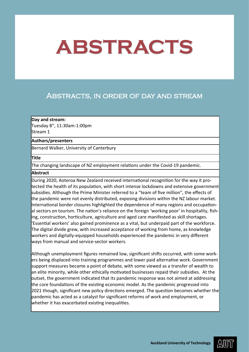## <span id="page-10-0"></span>Abstracts, in order of day and stream

### **Day and stream:**

Tuesday  $8<sup>th</sup>$ , 11:30am-1:00pm Stream 1

## **Authors/presenters**

Bernard Walker, University of Canterbury

## **Title**

The changing landscape of NZ employment relations under the Covid-19 pandemic.

## **Abstract**

During 2020, Aoteroa New Zealand received international recognition for the way it protected the health of its population, with short intense lockdowns and extensive government subsidies. Although the Prime Minister referred to a "team of five million", the effects of the pandemic were not evenly distributed, exposing divisions within the NZ labour market. International border closures highlighted the dependence of many regions and occupational sectors on tourism. The nation's reliance on the foreign 'working poor' in hospitality, fishing, construction, horticulture, agriculture and aged care manifested as skill shortages. 'Essential workers' also gained prominence as a vital, but underpaid part of the workforce. The digital divide grew, with increased acceptance of working from home, as knowledge workers and digitally-equipped households experienced the pandemic in very different ways from manual and service-sector workers.

Although unemployment figures remained low, significant shifts occurred, with some workers being displaced into training programmes and lower paid alternative work. Government support measures became a point of debate, with some viewed as a transfer of wealth to an elite minority, while other ethically motivated businesses repaid their subsidies.  At the outset, the government indicated that its pandemic response was not aimed at addressing the core foundations of the existing economic model. As the pandemic progressed into 2021 though, significant new policy directions emerged. The question becomes whether the pandemic has acted as a catalyst for significant reforms of work and employment, or whether it has exacerbated existing inequalities.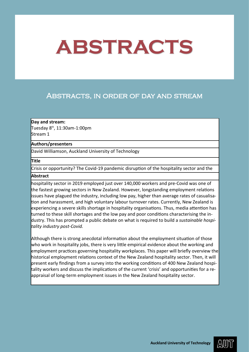## <span id="page-11-0"></span>Abstracts, in order of day and stream

## **Day and stream:**

Tuesday 8th, 11:30am-1:00pm Stream 1

### **Authors/presenters**

David Williamson, Auckland University of Technology

### **Title**

Crisis or opportunity? The Covid-19 pandemic disruption of the hospitality sector and the

## **Abstract**

hospitality sector in 2019 employed just over 140,000 workers and pre-Covid was one of the fastest growing sectors in New Zealand. However, longstanding employment relations issues have plagued the industry, including low pay, higher than average rates of casualisation and harassment, and high voluntary labour turnover rates. Currently, New Zealand is experiencing a severe skills shortage in hospitality organisations. Thus, media attention has turned to these skill shortages and the low pay and poor conditions characterising the industry. This has prompted a public debate on what is required to build a *sustainable hospitality industry post-Covid.* 

Although there is strong anecdotal information about the employment situation of those who work in hospitality jobs, there is very little empirical evidence about the working and employment practices governing hospitality workplaces. This paper will briefly overview the historical employment relations context of the New Zealand hospitality sector. Then, it will present early findings from a survey into the working conditions of 400 New Zealand hospitality workers and discuss the implications of the current 'crisis' and opportunities for a reappraisal of long-term employment issues in the New Zealand hospitality sector.

AWII)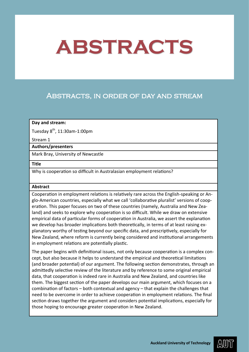## <span id="page-12-0"></span>Abstracts, in order of day and stream

### **Day and stream:**

Tuesday  $8^{th}$ , 11:30am-1:00pm

Stream 1

### **Authors/presenters**

Mark Bray, University of Newcastle

## **Title**

Why is cooperation so difficult in Australasian employment relations?

### **Abstract**

Cooperation in employment relations is relatively rare across the English-speaking or Anglo-American countries, especially what we call 'collaborative pluralist' versions of cooperation. This paper focuses on two of these countries (namely, Australia and New Zealand) and seeks to explore why cooperation is so difficult. While we draw on extensive empirical data of particular forms of cooperation in Australia, we assert the explanation we develop has broader implications both theoretically, in terms of at least raising explanatory worthy of testing beyond our specific data, and prescriptively, especially for New Zealand, where reform is currently being considered and institutional arrangements in employment relations are potentially plastic.

The paper begins with definitional issues, not only because cooperation is a complex concept, but also because it helps to understand the empirical and theoretical limitations (and broader potential) of our argument. The following section demonstrates, through an admittedly selective review of the literature and by reference to some original empirical data, that cooperation is indeed rare in Australia and New Zealand, and countries like them. The biggest section of the paper develops our main argument, which focuses on a combination of factors – both contextual and agency – that explain the challenges that need to be overcome in order to achieve cooperation in employment relations. The final section draws together the argument and considers potential implications, especially for those hoping to encourage greater cooperation in New Zealand.

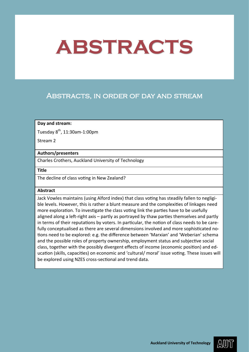## <span id="page-13-0"></span>Abstracts, in order of day and stream

## **Day and stream:**

Tuesday 8<sup>th</sup>, 11:30am-1:00pm

Stream 2

## **Authors/presenters**

Charles Crothers, Auckland University of Technology

**Title**

The decline of class voting in New Zealand?

### **Abstract**

Jack Vowles maintains (using Alford index) that class voting has steadily fallen to negligible levels. However, this is rather a blunt measure and the complexities of linkages need more exploration. To investigate the class voting link the parties have to be usefully aligned along a left-right axis – partly as portrayed by thaw parties themselves and partly in terms of their reputations by voters. In particular, the notion of class needs to be carefully conceptualised as there are several dimensions involved and more sophisticated notions need to be explored: e.g. the difference between 'Marxian' and 'Weberian' schema and the possible roles of property ownership, employment status and subjective social class, together with the possibly divergent effects of income (economic position) and education (skills, capacities) on economic and 'cultural/ moral' issue voting. These issues will be explored using NZES cross-sectional and trend data.

AWII)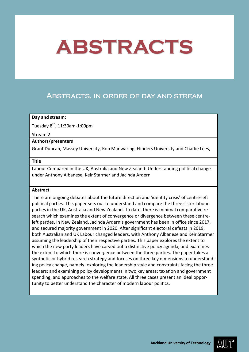## <span id="page-14-0"></span>Abstracts, in order of day and stream

### **Day and stream:**

Tuesday  $8^{th}$ , 11:30am-1:00pm

#### Stream 2

## **Authors/presenters**

Grant Duncan, Massey University, Rob Manwaring, Flinders University and Charlie Lees,

#### **Title**

Labour Compared in the UK, Australia and New Zealand: Understanding political change under Anthony Albanese, Keir Starmer and Jacinda Ardern

#### **Abstract**

There are ongoing debates about the future direction and 'identity crisis' of centre-left political parties. This paper sets out to understand and compare the three sister labour parties in the UK, Australia and New Zealand. To date, there is minimal comparative research which examines the extent of convergence or divergence between these centreleft parties. In New Zealand, Jacinda Ardern's government has been in office since 2017, and secured majority government in 2020. After significant electoral defeats in 2019, both Australian and UK Labour changed leaders, with Anthony Albanese and Keir Starmer assuming the leadership of their respective parties. This paper explores the extent to which the new party leaders have carved out a distinctive policy agenda, and examines the extent to which there is convergence between the three parties. The paper takes a synthetic or hybrid research strategy and focuses on three key dimensions to understanding policy change, namely: exploring the leadership style and constraints facing the three leaders; and examining policy developments in two key areas: taxation and government spending, and approaches to the welfare state. All three cases present an ideal opportunity to better understand the character of modern labour politics.

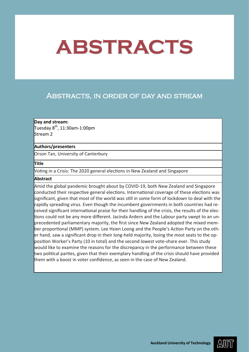## <span id="page-15-0"></span>Abstracts, in order of day and stream

## **Day and stream:**

Tuesday  $8^{th}$ , 11:30am-1:00pm Stream 2

## **Authors/presenters**

Orson Tan, University of Canterbury

## **Title**

Voting in a Crisis: The 2020 general elections in New Zealand and Singapore

### **Abstract**

Amid the global pandemic brought about by COVID-19, both New Zealand and Singapore conducted their respective general elections. International coverage of these elections was significant, given that most of the world was still in some form of lockdown to deal with the rapidly spreading virus. Even though the incumbent governments in both countries had received significant international praise for their handling of the crisis, the results of the elections could not be any more different. Jacinda Ardern and the Labour party swept to an unprecedented parliamentary majority, the first since New Zealand adopted the mixed member proportional (MMP) system. Lee Hsien Loong and the People's Action Party on the other hand, saw a significant drop in their long-held majority, losing the most seats to the opposition Worker's Party (10 in total) and the second lowest vote-share ever. This study would like to examine the reasons for the discrepancy in the performance between these two political parties, given that their exemplary handling of the crisis should have provided them with a boost in voter confidence, as seen in the case of New Zealand.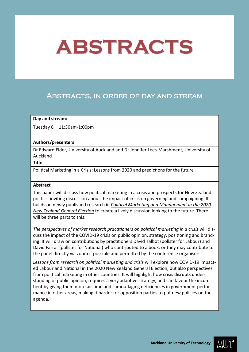## <span id="page-16-0"></span>Abstracts, in order of day and stream

## **Day and stream:**

Tuesday  $8<sup>th</sup>$ , 11:30am-1:00pm

### **Authors/presenters**

Dr Edward Elder, University of Auckland and Dr Jennifer Lees-Marshment, University of Auckland

## **Title**

Political Marketing in a Crisis: Lessons from 2020 and predictions for the future

### **Abstract**

This paper will discuss how political marketing in a crisis and prospects for New Zealand politics, inviting discussion about the impact of crisis on governing and campaigning. It builds on newly published research in *[Political Marketing and Management in the 2020](https://www.palgrave.com/gp/book/9783030773328)  [New Zealand General Election](https://www.palgrave.com/gp/book/9783030773328)* to create a lively discussion looking to the future. There will be three parts to this:

*The perspectives of market research practitioners on political marketing in a crisis* will discuss the impact of the COVID-19 crisis on public opinion, strategy, positioning and branding. It will draw on contributions by practitioners David Talbot (pollster for Labour) and David Farrar (pollster for National) who contributed to a book, or they may contribute to the panel directly via zoom if possible and permitted by the conference organisers.

*Lessons from research on political marketing and crisis* will explore how COVID-19 impacted Labour and National in the 2020 New Zealand General Election, but also perspectives from political marketing in other countries. It will highlight how crisis disrupts understanding of public opinion, requires a very adaptive strategy, and can favour the incumbent by giving them more air time and camouflaging deficiencies in government performance in other areas, making it harder for opposition parties to put new policies on the agenda.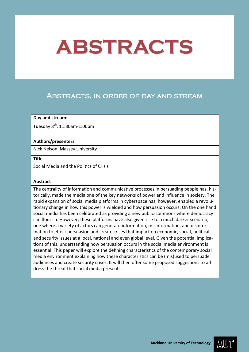## <span id="page-17-0"></span>Abstracts, in order of day and stream

### **Day and stream:**

Tuesday  $8^{th}$ , 11:30am-1:00pm

## **Authors/presenters**

Nick Nelson, Massey University

#### **Title**

Social Media and the Politics of Crisis

### **Abstract**

The centrality of information and communicative processes in persuading people has, historically, made the media one of the key networks of power and influence in society. The rapid expansion of social media platforms in cyberspace has, however, enabled a revolutionary change in how this power is wielded and how persuasion occurs. On the one hand social media has been celebrated as providing a new public-commons where democracy can flourish. However, these platforms have also given rise to a much darker scenario, one where a variety of actors can generate information, misinformation, and disinformation to effect persuasion and create crises that impact on economic, social, political and security issues at a local, national and even global level. Given the potential implications of this, understanding how persuasion occurs in the social media environment is essential. This paper will explore the defining characteristics of the contemporary social media environment explaining how these characteristics can be (mis)used to persuade audiences and create security crises. It will then offer some proposed suggestions to address the threat that social media presents.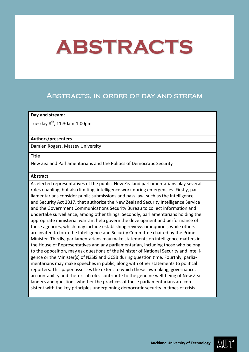## <span id="page-18-0"></span>Abstracts, in order of day and stream

### **Day and stream:**

Tuesday  $8^{th}$ , 11:30am-1:00pm

## **Authors/presenters**

Damien Rogers, Massey University

#### **Title**

New Zealand Parliamentarians and the Politics of Democratic Security

### **Abstract**

As elected representatives of the public, New Zealand parliamentarians play several roles enabling, but also limiting, intelligence work during emergencies. Firstly, parliamentarians consider public submissions and pass law, such as the Intelligence and Security Act 2017, that authorize the New Zealand Security Intelligence Service and the Government Communications Security Bureau to collect information and undertake surveillance, among other things. Secondly, parliamentarians holding the appropriate ministerial warrant help govern the development and performance of these agencies, which may include establishing reviews or inquiries, while others are invited to form the Intelligence and Security Committee chaired by the Prime Minister. Thirdly, parliamentarians may make statements on intelligence matters in the House of Representatives and any parliamentarian, including those who belong to the opposition, may ask questions of the Minister of National Security and Intelligence or the Minister(s) of NZSIS and GCSB during question time. Fourthly, parliamentarians may make speeches in public, along with other statements to political reporters. This paper assesses the extent to which these lawmaking, governance, accountability and rhetorical roles contribute to the genuine well-being of New Zealanders and questions whether the practices of these parliamentarians are consistent with the key principles underpinning democratic security in times of crisis.

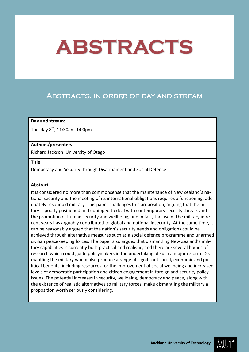## <span id="page-19-0"></span>Abstracts, in order of day and stream

### **Day and stream:**

Tuesday 8<sup>th</sup>, 11:30am-1:00pm

### **Authors/presenters**

Richard Jackson, University of Otago

### **Title**

Democracy and Security through Disarmament and Social Defence

### **Abstract**

It is considered no more than commonsense that the maintenance of New Zealand's national security and the meeting of its international obligations requires a functioning, adequately resourced military. This paper challenges this proposition, arguing that the military is poorly positioned and equipped to deal with contemporary security threats and the promotion of human security and wellbeing, and in fact, the use of the military in recent years has arguably contributed to global and national insecurity. At the same time, it can be reasonably argued that the nation's security needs and obligations could be achieved through alternative measures such as a social defence programme and unarmed civilian peacekeeping forces. The paper also argues that dismantling New Zealand's military capabilities is currently both practical and realistic, and there are several bodies of research which could guide policymakers in the undertaking of such a major reform. Dismantling the military would also produce a range of significant social, economic and political benefits, including resources for the improvement of social wellbeing and increased levels of democratic participation and citizen engagement in foreign and security policy issues. The potential increases in security, wellbeing, democracy and peace, along with the existence of realistic alternatives to military forces, make dismantling the military a proposition worth seriously considering.

AWII)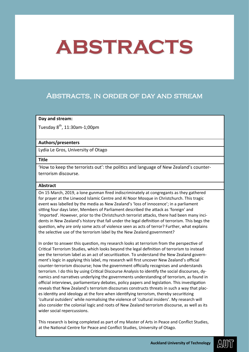## <span id="page-20-0"></span>Abstracts, in order of day and stream

## **Day and stream:**

Tuesday  $8^{th}$ , 11:30am-1;00pm

## **Authors/presenters**

Lydia Le Gros, University of Otago

#### **Title**

'How to keep the terrorists out': the politics and language of New Zealand's counterterrorism discourse.

### **Abstract**

On 15 March, 2019, a lone gunman fired indiscriminately at congregants as they gathered for prayer at the Linwood Islamic Centre and Al Noor Mosque in Christchurch. This tragic event was labelled by the media as New Zealand's 'loss of innocence'; in a parliament sitting four days later, Members of Parliament described the attack as 'foreign' and 'imported'. However, prior to the Christchurch terrorist attacks, there had been many incidents in New Zealand's history that fall under the legal definition of terrorism. This begs the question, why are only some acts of violence seen as acts of terror? Further, what explains the selective use of the terrorism label by the New Zealand government?

In order to answer this question, my research looks at terrorism from the perspective of Critical Terrorism Studies, which looks beyond the legal definition of terrorism to instead see the terrorism label as an act of securitization. To understand the New Zealand government's logic in applying this label, my research will first uncover New Zealand's official counter-terrorism discourse; how the government officially recognises and understands terrorism. I do this by using Critical Discourse Analysis to identify the social discourses, dynamics and narratives underlying the governments understanding of terrorism, as found in official interviews, parliamentary debates, policy papers and legislation. This investigation reveals that New Zealand's terrorism discourses constructs threats in such a way that places identity and ideology at the fore when identifying terrorism, thereby securitizing 'cultural outsiders' while normalising the violence of 'cultural insiders'. My research will also consider the colonial logic and roots of New Zealand terrorism discourse, as well as its wider social repercussions.

This research is being completed as part of my Master of Arts in Peace and Conflict Studies, at the National Centre for Peace and Conflict Studies, University of Otago.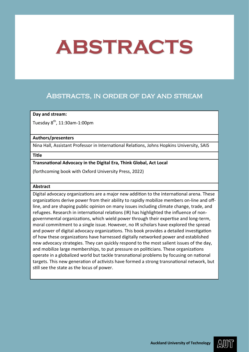## <span id="page-21-0"></span>Abstracts, in order of day and stream

## **Day and stream:**

Tuesday  $8^{th}$ , 11:30am-1:00pm

### **Authors/presenters**

Nina Hall, Assistant Professor in International Relations, Johns Hopkins University, SAIS

### **Title**

## **Transnational Advocacy in the Digital Era, Think Global, Act Local**

(forthcoming book with Oxford University Press, 2022)

### **Abstract**

Digital advocacy organizations are a major new addition to the international arena. These organizations derive power from their ability to rapidly mobilize members on-line and offline, and are shaping public opinion on many issues including climate change, trade, and refugees. Research in international relations (IR) has highlighted the influence of nongovernmental organizations, which wield power through their expertise and long-term, moral commitment to a single issue. However, no IR scholars have explored the spread and power of digital advocacy organizations. This book provides a detailed investigation of how these organizations have harnessed digitally networked power and established new advocacy strategies. They can quickly respond to the most salient issues of the day, and mobilize large memberships, to put pressure on politicians. These organizations operate in a globalized world but tackle transnational problems by focusing on national targets. This new generation of activists have formed a strong transnational network, but still see the state as the locus of power.

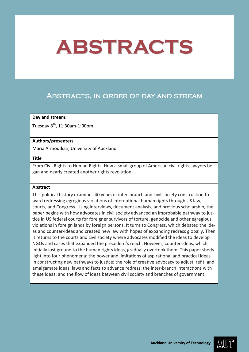## <span id="page-22-0"></span>Abstracts, in order of day and stream

### **Day and stream:**

Tuesday  $8^{th}$ , 11:30am-1:00pm

## **Authors/presenters**

Maria Armoudian, University of Auckland

#### **Title**

From Civil Rights to Human Rights: How a small group of American civil rights lawyers began and nearly created another rights revolution

### **Abstract**

This political history examines 40 years of inter-branch and civil society construction toward redressing egregious violations of international human rights through US law, courts, and Congress. Using interviews, document analysis, and previous scholarship, the paper begins with how advocates in civil society advanced an improbable pathway to justice in US federal courts for foreigner survivors of torture, genocide and other egregious violations in foreign lands by foreign persons. It turns to Congress, which debated the ideas and counter-ideas and created new law with hopes of expanding redress globally. Then it returns to the courts and civil society where advocates modified the ideas to develop NGOs and cases that expanded the precedent's reach. However, counter-ideas, which initially lost ground to the human rights ideas, gradually overtook them. This paper sheds light into four phenomena: the power and limitations of aspirational and practical ideas in constructing new pathways to justice; the role of creative advocacy to adjust, refit, and amalgamate ideas, laws and facts to advance redress; the inter-branch interactions with these ideas; and the flow of ideas between civil society and branches of government.

AWII)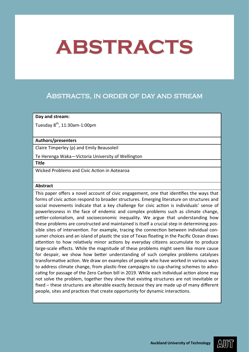## <span id="page-23-0"></span>Abstracts, in order of day and stream

## **Day and stream:**

Tuesday  $8^{th}$ , 11:30am-1:00pm

### **Authors/presenters**

Claire Timperley (p) and Emily Beausoleil

Te Herenga Waka—Victoria University of Wellington

**Title**

Wicked Problems and Civic Action in Aotearoa

### **Abstract**

This paper offers a novel account of civic engagement, one that identifies the ways that forms of civic action respond to broader structures. Emerging literature on structures and social movements indicate that a key challenge for civic action is individuals' sense of powerlessness in the face of endemic and complex problems such as climate change, settler-colonialism, and socioeconomic inequality. We argue that understanding how these problems are constructed and maintained is itself a crucial step in determining possible sites of intervention. For example, tracing the connection between individual consumer choices and an island of plastic the size of Texas floating in the Pacific Ocean draws attention to how relatively minor actions by everyday citizens accumulate to produce large-scale effects. While the magnitude of these problems might seem like more cause for despair, we show how better understanding of such complex problems catalyses transformative action. We draw on examples of people who have worked in various ways to address climate change, from plastic-free campaigns to cup-sharing schemes to advocating for passage of the Zero Carbon bill in 2019. While each individual action alone may not solve the problem, together they show that existing structures are not inevitable or fixed – these structures are alterable exactly *because* they are made up of many different people, sites and practices that create opportunity for dynamic interactions.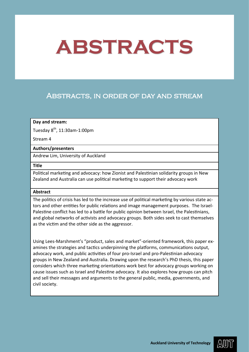## <span id="page-24-0"></span>Abstracts, in order of day and stream

## **Day and stream:**

Tuesday  $8^{th}$ , 11:30am-1:00pm

Stream 4

## **Authors/presenters**

Andrew Lim, University of Auckland

### **Title**

Political marketing and advocacy: how Zionist and Palestinian solidarity groups in New Zealand and Australia can use political marketing to support their advocacy work

## **Abstract**

The politics of crisis has led to the increase use of political marketing by various state actors and other entities for public relations and image management purposes. The Israel-Palestine conflict has led to a battle for public opinion between Israel, the Palestinians, and global networks of activists and advocacy groups. Both sides seek to cast themselves as the victim and the other side as the aggressor.

Using Lees-Marshment's "product, sales and market"-oriented framework, this paper examines the strategies and tactics underpinning the platforms, communications output, advocacy work, and public activities of four pro-Israel and pro-Palestinian advocacy groups in New Zealand and Australia. Drawing upon the research's PhD thesis, this paper considers which three marketing orientations work best for advocacy groups working on cause issues such as Israel and Palestine advocacy. It also explores how groups can pitch and sell their messages and arguments to the general public, media, governments, and civil society.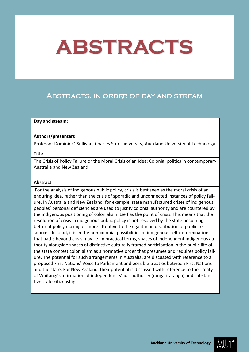## Abstracts, in order of day and stream

### **Day and stream:**

## **Authors/presenters**

Professor Dominic O'Sullivan, Charles Sturt university; Auckland University of Technology

### **Title**

The Crisis of Policy Failure or the Moral Crisis of an Idea: Colonial politics in contemporary Australia and New Zealand

### **Abstract**

For the analysis of indigenous public policy, crisis is best seen as the moral crisis of an enduring idea, rather than the crisis of sporadic and unconnected instances of policy failure. In Australia and New Zealand, for example, state manufactured crises of indigenous peoples' personal deficiencies are used to justify colonial authority and are countered by the indigenous positioning of colonialism itself as the point of crisis. This means that the resolution of crisis in indigenous public policy is not resolved by the state becoming better at policy making or more attentive to the egalitarian distribution of public resources. Instead, it is in the non-colonial possibilities of indigenous self-determination that paths beyond crisis may lie. In practical terms, spaces of independent indigenous authority alongside spaces of distinctive culturally framed participation in the public life of the state contest colonialism as a normative order that presumes and requires policy failure. The potential for such arrangements in Australia, are discussed with reference to a proposed First Nations' Voice to Parliament and possible treaties between First Nations and the state. For New Zealand, their potential is discussed with reference to the Treaty of Waitangi's affirmation of independent Maori authority (rangatiratanga) and substantive state citizenship.

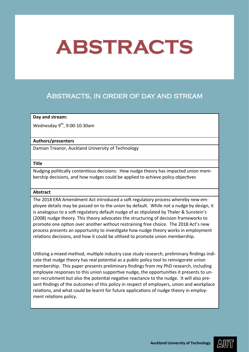## <span id="page-26-0"></span>Abstracts, in order of day and stream

## **Day and stream:**

Wednesday  $9<sup>th</sup>$ , 9:00-10:30am

## **Authors/presenters**

Damian Treanor, Auckland University of Technology

### **Title**

Nudging politically contentious decisions: How nudge theory has impacted union membership decisions, and how nudges could be applied to achieve policy objectives

## **Abstract**

The 2018 ERA Amendment Act introduced a soft regulatory process whereby new employee details may be passed on to the union by default. While not a nudge by design, it is analogous to a soft regulatory default nudge of as stipulated by Thaler & Sunstein's (2008) nudge theory. This theory advocates the structuring of decision frameworks to promote one option over another without restraining free choice. The 2018 Act's new process presents an opportunity to investigate how nudge theory works in employment relations decisions, and how it could be utilised to promote union membership.

Utilising a mixed-method, multiple industry case study research, preliminary findings indicate that nudge theory has real potential as a public policy tool to reinvigorate union membership. This paper presents preliminary findings from my PhD research, including employee responses to this union supportive nudge, the opportunities it presents to union recruitment but also the potential negative reactance to the nudge. It will also present findings of the outcomes of this policy in respect of employers, union and workplace relations, and what could be learnt for future applications of nudge theory in employment relations policy.

AWII)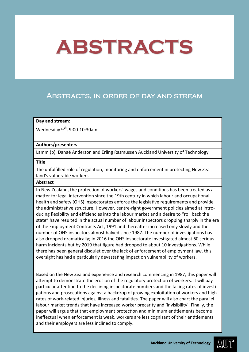## <span id="page-27-0"></span>Abstracts, in order of day and stream

### **Day and stream:**

Wednesday  $9^{th}$ , 9:00-10:30am

## **Authors/presenters**

Lamm (p), Danaë Anderson and Erling Rasmussen Auckland University of Technology

#### **Title**

The unfulfilled role of regulation, monitoring and enforcement in protecting New Zealand's vulnerable workers

## **Abstract**

In New Zealand, the protection of workers' wages and conditions has been treated as a matter for legal intervention since the 19th century in which labour and occupational health and safety (OHS) inspectorates enforce the legislative requirements and provide the administrative structure. However, centre-right government policies aimed at introducing flexibility and efficiencies into the labour market and a desire to "roll back the state" have resulted in the actual number of labour inspectors dropping sharply in the era of the Employment Contracts Act, 1991 and thereafter increased only slowly and the number of OHS inspectors almost halved since 1987. The number of investigations has also dropped dramatically; in 2016 the OHS inspectorate investigated almost 60 serious harm incidents but by 2019 that figure had dropped to about 10 investigations. While there has been general disquiet over the lack of enforcement of employment law, this oversight has had a particularly devastating impact on vulnerability of workers.

Based on the New Zealand experience and research commencing in 1987, this paper will attempt to demonstrate the erosion of the regulatory protection of workers. It will pay particular attention to the declining inspectorate numbers and the falling rates of investigations and prosecutions against a backdrop of growing exploitation of workers and high rates of work-related injuries, illness and fatalities. The paper will also chart the parallel labour market trends that have increased worker precarity and 'invisibility'. Finally, the paper will argue that that employment protection and minimum entitlements become ineffectual when enforcement is weak, workers are less cognisant of their entitlements and their employers are less inclined to comply.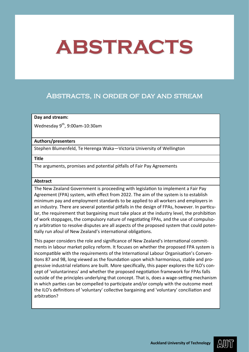## <span id="page-28-0"></span>Abstracts, in order of day and stream

### **Day and stream:**

Wednesday  $9^{th}$ , 9:00am-10:30am

## **Authors/presenters**

Stephen Blumenfeld, Te Herenga Waka—Victoria University of Wellington

#### **Title**

The arguments, promises and potential pitfalls of Fair Pay Agreements

### **Abstract**

The New Zealand Government is proceeding with legislation to implement a Fair Pay Agreement (FPA) system, with effect from 2022. The aim of the system is to establish minimum pay and employment standards to be applied to all workers and employers in an industry. There are several potential pitfalls in the design of FPAs, however. In particular, the requirement that bargaining must take place at the industry level, the prohibition of work stoppages, the compulsory nature of negotiating FPAs, and the use of compulsory arbitration to resolve disputes are all aspects of the proposed system that could potentially run afoul of New Zealand's international obligations.

This paper considers the role and significance of New Zealand's international commitments in labour market policy reform. It focuses on whether the proposed FPA system is incompatible with the requirements of the International Labour Organisation's Conventions 87 and 98, long viewed as the foundation upon which harmonious, stable and progressive industrial relations are built. More specifically, this paper explores the ILO's concept of 'voluntariness' and whether the proposed negotiation framework for FPAs falls outside of the principles underlying that concept. That is, does a wage-setting mechanism in which parties can be compelled to participate and/or comply with the outcome meet the ILO's definitions of 'voluntary' collective bargaining and 'voluntary' conciliation and arbitration?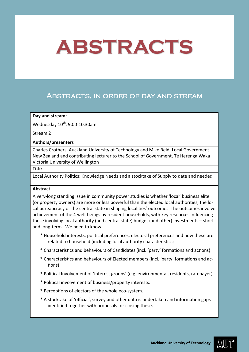## <span id="page-29-0"></span>Abstracts, in order of day and stream

### **Day and stream:**

Wednesday  $10^{th}$ , 9:00-10:30am

Stream 2

## **Authors/presenters**

Charles Crothers, Auckland University of Technology and Mike Reid, Local Government New Zealand and contributing lecturer to the School of Government, Te Herenga Waka— Victoria University of Wellington

## **Title**

Local Authority Politics: Knowledge Needs and a stocktake of Supply to date and needed

### **Abstract**

A very-long standing issue in community power studies is whether 'local' business elite (or property owners) are more or less powerful than the elected local authorities, the local bureaucracy or the central state in shaping localities' outcomes. The outcomes involve achievement of the 4 well-beings by resident households, with key resources influencing these involving local authority (and central state) budget (and other) investments – shortand long-term. We need to know:

- \* Household interests, political preferences, electoral preferences and how these are related to household (including local authority characteristics;
- \* Characteristics and behaviours of Candidates (incl. 'party' formations and actions)
- \* Characteristics and behaviours of Elected members (incl. 'party' formations and actions)
- \* Political Involvement of 'interest groups' (e.g. environmental, residents, ratepayer)
- \* Political involvement of business/property interests.
- \* Perceptions of electors of the whole eco-system.
- \* A stocktake of 'official', survey and other data is undertaken and information gaps identified together with proposals for closing these.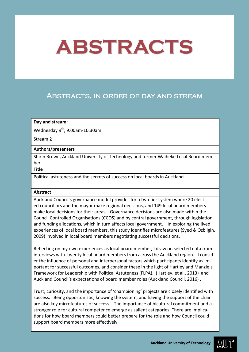## <span id="page-30-0"></span>Abstracts, in order of day and stream

## **Day and stream:**

Wednesday  $9^{th}$ , 9:00am-10:30am

Stream 2

## **Authors/presenters**

Shirin Brown, Auckland University of Technology and former Waiheke Local Board member

**Title**

Political astuteness and the secrets of success on local boards in Auckland

## **Abstract**

Auckland Council's governance model provides for a two tier system where 20 elected councillors and the mayor make regional decisions, and 149 local board members make local decisions for their areas. Governance decisions are also made within the Council Controlled Organisations (CCOS) and by central government, through legislation and funding allocations, which in turn affects local government. In exploring the lived experiences of local board members, this study identifies microfeatures (Syed & Özbligin, 2009) involved in local board members negotiating successful decisions.

Reflecting on my own experiences as local board member, I draw on selected data from interviews with twenty local board members from across the Auckland region. I consider the influence of personal and interpersonal factors which participants identify as important for successful outcomes, and consider these in the light of Hartley and Manzie's Framework for Leadership with Political Astuteness (FLPA), (Hartley, et al., 2013) and Auckland Council's expectations of board member roles (Auckland Council, 2016) .

Trust, curiosity, and the importance of 'championing' projects are closely identified with success. Being opportunistic, knowing the system, and having the support of the chair are also key microfeatures of success. The importance of bicultural commitment and a stronger role for cultural competence emerge as salient categories. There are implications for how board members could better prepare for the role and how Council could support board members more effectively.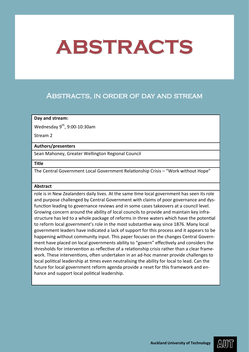## <span id="page-31-0"></span>Abstracts, in order of day and stream

## **Day and stream:**

Wednesday 9th, 9:00-10:30am

Stream 2

## **Authors/presenters**

Sean Mahoney, Greater Wellington Regional Council

## **Title**

The Central Government Local Government Relationship Crisis – "Work without Hope"

### **Abstract**

role is in New Zealanders daily lives. At the same time local government has seen its role and purpose challenged by Central Government with claims of poor governance and dysfunction leading to governance reviews and in some cases takeovers at a council level. Growing concern around the ability of local councils to provide and maintain key infrastructure has led to a whole package of reforms in three waters which have the potential to reform local government's role in the most substantive way since 1876. Many local government leaders have indicated a lack of support for this process and it appears to be happening without community input. This paper focuses on the changes Central Government have placed on local governments ability to "govern" effectively and considers the thresholds for intervention as reflective of a relationship crisis rather than a clear framework. These interventions, often undertaken in an ad-hoc manner provide challenges to local political leadership at times even neutralising the ability for local to lead. Can the future for local government reform agenda provide a reset for this framework and enhance and support local political leadership.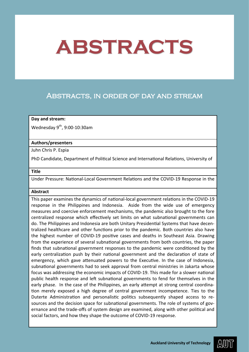## <span id="page-32-0"></span>Abstracts, in order of day and stream

#### **Day and stream:**

Wednesday  $9^{th}$ , 9:00-10:30am

#### **Authors/presenters**

Juhn Chris P. Espia

PhD Candidate, Department of Political Science and International Relations, University of

#### **Title**

Under Pressure: National-Local Government Relations and the COVID-19 Response in the

### **Abstract**

This paper examines the dynamics of national-local government relations in the COVID-19 response in the Philippines and Indonesia. Aside from the wide use of emergency measures and coercive enforcement mechanisms, the pandemic also brought to the fore centralized response which effectively set limits on what subnational governments can do. The Philippines and Indonesia are both Unitary Presidential Systems that have decentralized healthcare and other functions prior to the pandemic. Both countries also have the highest number of COVID-19 positive cases and deaths in Southeast Asia. Drawing from the experience of several subnational governments from both countries, the paper finds that subnational government responses to the pandemic were conditioned by the early centralization push by their national government and the declaration of state of emergency, which gave attenuated powers to the Executive. In the case of Indonesia, subnational governments had to seek approval from central ministries in Jakarta whose focus was addressing the economic impacts of COVID-19. This made for a slower national public health response and left subnational governments to fend for themselves in the early phase. In the case of the Philippines, an early attempt at strong central coordination merely exposed a high degree of central government incompetence. Ties to the Duterte Administration and personalistic politics subsequently shaped access to resources and the decision space for subnational governments. The role of systems of governance and the trade-offs of system design are examined, along with other political and social factors, and how they shape the outcome of COVID-19 response.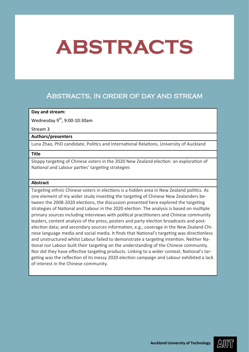## <span id="page-33-0"></span>Abstracts, in order of day and stream

## **Day and stream:**

Wednesday  $9^{th}$ , 9:00-10:30am

### Stream 3

## **Authors/presenters**

Luna Zhao, PhD candidate, Politics and International Relations, University of Auckland

## **Title**

Sloppy targeting of Chinese voters in the 2020 New Zealand election: an exploration of National and Labour parties' targeting strategies

## **Abstract**

Targeting ethnic Chinese voters in elections is a hidden area in New Zealand politics. As one element of my wider study investing the targeting of Chinese New Zealanders between the 2008-2020 elections, the discussion presented here explored the targeting strategies of National and Labour in the 2020 election. The analysis is based on multiple primary sources including interviews with political practitioners and Chinese community leaders, content analysis of the press, posters and party election broadcasts and postelection data; and secondary sources information, e.g., coverage in the New Zealand Chinese language media and social media. It finds that National's targeting was directionless and unstructured whilst Labour failed to demonstrate a targeting intention. Neither National nor Labour built their targeting on the understanding of the Chinese community. Nor did they have effective targeting products. Linking to a wider context, National's targeting was the reflection of its messy 2020 election campaign and Labour exhibited a lack of interest in the Chinese community.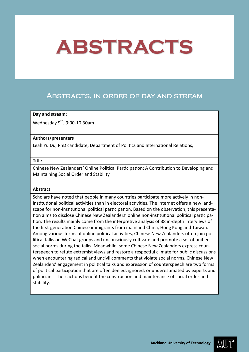## <span id="page-34-0"></span>Abstracts, in order of day and stream

## **Day and stream:**

Wednesday  $9^{th}$ , 9:00-10:30am

## **Authors/presenters**

Leah Yu Du, PhD candidate, Department of Politics and International Relations,

### **Title**

Chinese New Zealanders' Online Political Participation: A Contribution to Developing and Maintaining Social Order and Stability

### **Abstract**

Scholars have noted that people in many countries participate more actively in noninstitutional political activities than in electoral activities. The Internet offers a new landscape for non-institutional political participation. Based on the observation, this presentation aims to disclose Chinese New Zealanders' online non-institutional political participation. The results mainly come from the interpretive analysis of 38 in-depth interviews of the first-generation Chinese immigrants from mainland China, Hong Kong and Taiwan. Among various forms of online political activities, Chinese New Zealanders often join political talks on WeChat groups and unconsciously cultivate and promote a set of unified social norms during the talks. Meanwhile, some Chinese New Zealanders express counterspeech to refute extremist views and restore a respectful climate for public discussions when encountering radical and uncivil comments that violate social norms. Chinese New Zealanders' engagement in political talks and expression of counterspeech are two forms of political participation that are often denied, ignored, or underestimated by experts and politicians. Their actions benefit the construction and maintenance of social order and stability.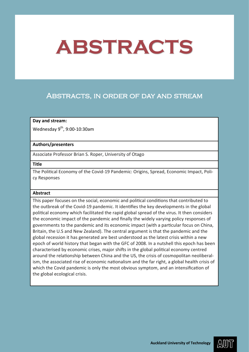## <span id="page-35-0"></span>Abstracts, in order of day and stream

## **Day and stream:**

Wednesday 9<sup>th</sup>, 9:00-10:30am

### **Authors/presenters**

Associate Professor Brian S. Roper, University of Otago

## **Title**

The Political Economy of the Covid-19 Pandemic: Origins, Spread, Economic Impact, Policy Responses

### **Abstract**

This paper focuses on the social, economic and political conditions that contributed to the outbreak of the Covid-19 pandemic. It identifies the key developments in the global political economy which facilitated the rapid global spread of the virus. It then considers the economic impact of the pandemic and finally the widely varying policy responses of governments to the pandemic and its economic impact (with a particular focus on China, Britain, the U.S and New Zealand). The central argument is that the pandemic and the global recession it has generated are best understood as the latest crisis within a new epoch of world history that began with the GFC of 2008. In a nutshell this epoch has been characterised by economic crises, major shifts in the global political economy centred around the relationship between China and the US, the crisis of cosmopolitan neoliberalism, the associated rise of economic nationalism and the far right, a global health crisis of which the Covid pandemic is only the most obvious symptom, and an intensification of the global ecological crisis.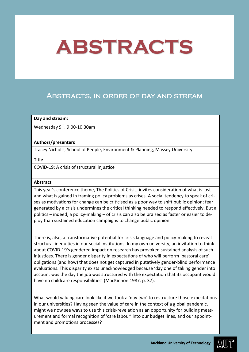## Abstracts, in order of day and stream

### **Day and stream:**

Wednesday  $9^{th}$ , 9:00-10:30am

### **Authors/presenters**

Tracey Nicholls, School of People, Environment & Planning, Massey University

### **Title**

COVID-19: A crisis of structural injustice

### **Abstract**

This year's conference theme, The Politics of Crisis, invites consideration of what is lost and what is gained in framing policy problems as crises. A social tendency to speak of crises as motivations for change can be criticised as a poor way to shift public opinion; fear generated by a crisis undermines the critical thinking needed to respond effectively. But a politics – indeed, a policy-making – of crisis can also be praised as faster or easier to deploy than sustained education campaigns to change public opinion.

There is, also, a transformative potential for crisis language and policy-making to reveal structural inequities in our social institutions. In my own university, an invitation to think about COVID-19's gendered impact on research has provoked sustained analysis of such injustices. There is gender disparity in expectations of who will perform 'pastoral care' obligations (and how) that does not get captured in putatively gender-blind performance evaluations. This disparity exists unacknowledged because 'day one of taking gender into account was the day the job was structured with the expectation that its occupant would have no childcare responsibilities' (MacKinnon 1987, p. 37).

What would valuing care look like if we took a 'day two' to restructure those expectations in our universities? Having seen the value of care in the context of a global pandemic, might we now see ways to use this crisis-revelation as an opportunity for building measurement and formal recognition of 'care labour' into our budget lines, and our appointment and promotions processes?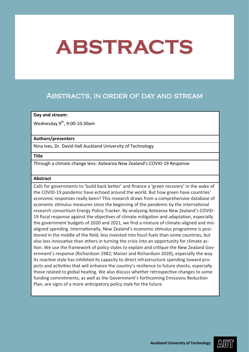## Abstracts, in order of day and stream

### **Day and stream:**

Wednesday  $9^{th}$ , 9:00-10:30am

### **Authors/presenters**

Nina Ives, Dr. David Hall Auckland University of Technology

#### **Title**

Through a climate change lens: Aotearoa New Zealand's COVID-19 Response

### **Abstract**

Calls for governments to 'build back better' and finance a 'green recovery' in the wake of the COVID-19 pandemic have echoed around the world. But how green have countries' economic responses really been? This research draws from a comprehensive database of economic stimulus measures since the beginning of the pandemic by the international research consortium Energy Policy Tracker. By analysing Aotearoa New Zealand's COVID-19 fiscal response against the objectives of climate mitigation and adaptation, especially the government budgets of 2020 and 2021, we find a mixture of climate-aligned and misaligned spending. Internationally, New Zealand's economic stimulus programme is positioned in the middle of the field, less invested into fossil fuels than some countries, but also less innovative than others in turning the crisis into an opportunity for climate action. We use the framework of policy styles to explain and critique the New Zealand Government's response (Richardson 1982; Maizer and Richardson 2020), especially the way its reactive style has inhibited its capacity to direct infrastructure spending toward projects and activities that will enhance the country's resilience to future shocks, especially those related to global heating. We also discuss whether retrospective changes to some funding commitments, as well as the Government's forthcoming Emissions Reduction Plan, are signs of a more anticipatory policy style for the future.

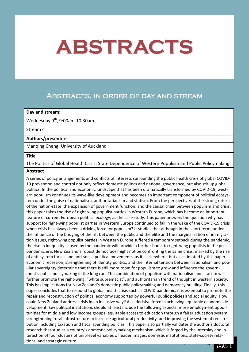### Abstracts, in order of day and stream

### **Day and stream:**

Wednesday  $9<sup>th</sup>$ , 9:00am-10:30am

Stream 4

### **Authors/presenters**

Manqing Cheng, University of Auckland

#### **Title**

The Politics of Global Health Crisis: State Dependence of Western Populism and Public Policymaking

#### **Abstract**

**tions, and strategic culture.** The contract of the technology **and strategic culture.** The contract of the contract of the contract of the contract of the contract of the contract of the contract of the contract of the co A series of policy arrangements and conflicts of interests surrounding the public health crisis of global COVID-19 prevention and control not only reflect domestic politics and national governance, but also stir up global politics. In the political and economic landscape that has been dramatically transformed by COVID-19, western populism continues its wave-like development and becomes an important component of political ecosystem under the guise of nationalism, authoritarianism and statism. From the perspectives of the strong return of the nation-state, the expansion of government function, and the causal chain between populism and crisis, this paper takes the rise of right-wing populist parties in Western Europe, which has become an important feature of current European political ecology, as the case study. This paper answers the question why has support for right-wing populist parties in Western Europe continued to fall in the wake of the COVID-19 crisis when crisis has always been a driving force for populism? It studies that although in the short term, under the influence of the bridging of the rift between the public and the elite and the marginalization of immigration issues, right-wing populist parties in Western Europe suffered a temporary setback during the pandemic, the rise in inequality caused by the pandemic will provide a further boost to right-wing populists in the postpandemic era. New Zealand's robust democracy might not be confronting the same crisis, marked by the rise of anti-system forces and anti-social political movements, as it is elsewhere, but as estimated by this paper, economic recession, strengthening of identity politics, and the internal tension between rationalism and popular sovereignty determine that there is still more room for populism to grow and influence the government's public policymaking in the long run. The combination of populism with nationalism and statism will further promote the right-wing, "white supremacist", and authoritarian trend of thought in western society. This has implications for New Zealand's domestic public policymaking and democracy building. Finally, this paper concludes that to respond to global health crisis such as COVID pandemic, it is essential to promote the repair and reconstruction of political economy supported by powerful public policies and social equity. How could New Zealand address crisis in an inclusive way? As a decisive force in achieving equitable economic development, key political institutions should at least include the following aspects: more employment opportunities for middle and low income groups, equitable access to education through a fairer education system, strengthening rural infrastructure to increase agricultural productivity, and improving the system of redistribution including taxation and fiscal spending policies. This paper also partially validates the author's doctoral research that studies a country's domestic policymaking mechanism which is forged by the interplay and interaction of four clusters of unit-level variables of leader images, domestic institutions, state-society rela-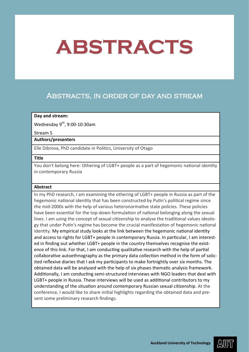## Abstracts, in order of day and stream

### **Day and stream:**

Wednesday  $9^{th}$ , 9:00-10:30am

#### Stream 5

### **Authors/presenters**

Elle Dibrova, PhD candidate in Politics, University of Otago

#### **Title**

You don't belong here: Othering of LGBT+ people as a part of hegemonic national identity in contemporary Russia

#### **Abstract**

In my PhD research, I am examining the othering of LGBT+ people in Russia as part of the hegemonic national identity that has been constructed by Putin's political regime since the mid-2000s with the help of various heteronormative state policies. These policies have been essential for the top-down formulation of national belonging along the sexual lines. I am using the concept of sexual citizenship to analyse the traditional values ideology that under Putin's regime has become the crucial manifestation of hegemonic national identity. My empirical study looks at the link between the hegemonic national identity and access to rights for LGBT+ people in contemporary Russia. In particular, I am interested in finding out whether LGBT+ people in the country themselves recognise the existence of this link. For that, I am conducting qualitative research with the help of partial collaborative autoethnography as the primary data collection method in the form of solicited reflexive diaries that I ask my participants to make fortnightly over six months. The obtained data will be analysed with the help of six phases thematic analysis framework. Additionally, I am conducting semi-structured interviews with NGO leaders that deal with LGBT+ people in Russia. These interviews will be used as additional contributors to my understanding of the situation around contemporary Russian sexual citizenship. At the conference, I would like to share initial highlights regarding the obtained data and present some preliminary research findings.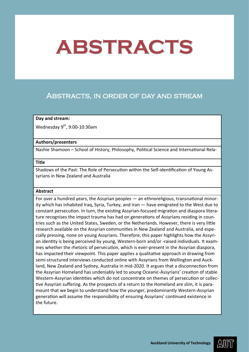## Abstracts, in order of day and stream

### **Day and stream:**

Wednesday 9th, 9:00-10:30am

### **Authors/presenters**

Nashie Shamoon – School of History, Philosophy, Political Science and International Rela-

### **Title**

Shadows of the Past: The Role of Persecution within the Self-identification of Young Assyrians in New Zealand and Australia

### **Abstract**

For over a hundred years, the Assyrian peoples — an ethnoreligious, transnational minority which has inhabited Iraq, Syria, Turkey, and Iran — have emigrated to the West due to constant persecution. In turn, the existing Assyrian-focused migration and diaspora literature recognises the impact trauma has had on generations of Assyrians residing in countries such as the United States, Sweden, or the Netherlands. However, there is very little research available on the Assyrian communities in New Zealand and Australia, and especially pressing, none on young Assyrians. Therefore, this paper highlights how the Assyrian identity is being perceived by young, Western-born and/or -raised individuals. It examines whether the rhetoric of persecution, which is ever-present in the Assyrian diaspora, has impacted their viewpoint. This paper applies a qualitative approach in drawing from semi-structured interviews conducted online with Assyrians from Wellington and Auckland, New Zealand and Sydney, Australia in mid-2020. It argues that a disconnection from the Assyrian Homeland has undeniably led to young Oceanic-Assyrians' creation of stable Western-Assyrian identities which do not concentrate on themes of persecution or collective Assyrian suffering. As the prospects of a return to the Homeland are slim, it is paramount that we begin to understand how the younger, predominantly Western-Assyrian generation will assume the responsibility of ensuring Assyrians' continued existence in the future.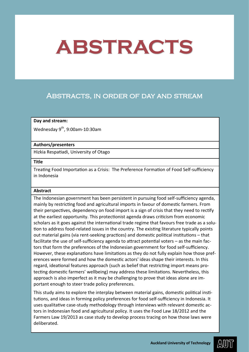## Abstracts, in order of day and stream

### **Day and stream:**

Wednesday  $9<sup>th</sup>$ , 9:00am-10:30am

### **Authors/presenters**

Hizkia Respatiadi, University of Otago

#### **Title**

Treating Food Importation as a Crisis: The Preference Formation of Food Self-sufficiency in Indonesia

### **Abstract**

The Indonesian government has been persistent in pursuing food self-sufficiency agenda, mainly by restricting food and agricultural imports in favour of domestic farmers. From their perspectives, dependency on food import is a sign of crisis that they need to rectify at the earliest opportunity. This protectionist agenda draws criticism from economic scholars as it goes against the international trade regime that favours free trade as a solution to address food-related issues in the country. The existing literature typically points out material gains (via rent-seeking practices) and domestic political institutions – that facilitate the use of self-sufficiency agenda to attract potential voters – as the main factors that form the preferences of the Indonesian government for food self-sufficiency. However, these explanations have limitations as they do not fully explain how those preferences were formed and how the domestic actors' ideas shape their interests. In this regard, ideational features approach (such as belief that restricting import means protecting domestic farmers' wellbeing) may address these limitations. Nevertheless, this approach is also imperfect as it may be challenging to prove that ideas alone are important enough to steer trade policy preferences.

This study aims to explore the interplay between material gains, domestic political institutions, and ideas in forming policy preferences for food self-sufficiency in Indonesia. It uses qualitative case-study methodology through interviews with relevant domestic actors in Indonesian food and agricultural policy. It uses the Food Law 18/2012 and the Farmers Law 19/2013 as case study to develop process tracing on how those laws were deliberated.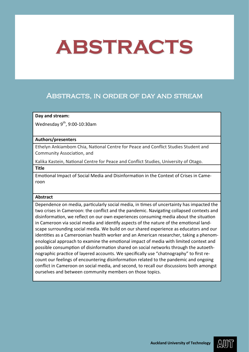## Abstracts, in order of day and stream

### **Day and stream:**

Wednesday  $9^{th}$ , 9:00-10:30am

### **Authors/presenters**

Ethelyn Ankiambom Chia, National Centre for Peace and Conflict Studies Student and Community Association, and

Kalika Kastein, National Centre for Peace and Conflict Studies, University of Otago.

**Title**

Emotional Impact of Social Media and Disinformation in the Context of Crises in Cameroon

### **Abstract**

Dependence on media, particularly social media, in times of uncertainty has impacted the two crises in Cameroon: the conflict and the pandemic. Navigating collapsed contexts and disinformation, we reflect on our own experiences consuming media about the situation in Cameroon via social media and identify aspects of the nature of the emotional landscape surrounding social media. We build on our shared experience as educators and our identities as a Cameroonian health worker and an American researcher, taking a phenomenological approach to examine the emotional impact of media with limited context and possible consumption of disinformation shared on social networks through the autoethnographic practice of layered accounts. We specifically use "chatnography" to first recount our feelings of encountering disinformation related to the pandemic and ongoing conflict in Cameroon on social media, and second, to recall our discussions both amongst ourselves and between community members on those topics.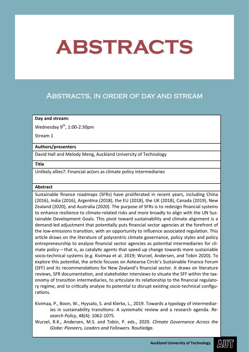## Abstracts, in order of day and stream

### **Day and stream:**

Wednesday  $9^{th}$ , 1:00-2:30pm

Stream 1

### **Authors/presenters**

David Hall and Melody Meng, Auckland University of Technology

#### **Title**

Unlikely allies?: Financial actors as climate policy intermediaries

### **Abstract**

Sustainable finance roadmaps (SFRs) have proliferated in recent years, including China (2016), India (2016), Argentina (2018), the EU (2018), the UK (2018), Canada (2019), New Zealand (2020), and Australia (2020). The purpose of SFRs is to redesign financial systems to enhance resilience to climate-related risks and more broadly to align with the UN Sustainable Development Goals. This pivot toward sustainability and climate alignment is a demand-led adjustment that potentially puts financial sector agencies at the forefront of the low-emissions transition, with an opportunity to influence associated regulation. This article draws on the literature of polycentric climate governance, policy styles and policy entrepreneurship to analyse financial sector agencies as potential intermediaries for climate policy – that is, as catalytic agents that speed up change towards more sustainable socio-technical systems (e.g. Kivimaa et al. 2019; Wurzel, Andersen, and Tobin 2020). To explore this potential, the article focuses on Aotearoa Circle's Sustainable Finance Forum (SFF) and its recommendations for New Zealand's financial sector. It draws on literature reviews, SFR documentation, and stakeholder interviews to situate the SFF within the taxonomy of transition intermediaries, to articulate its relationship to the financial regulatory regime, and to critically analyse its potential to disrupt existing socio-technical configurations.

Kivimaa, P., Boon, W., Hyysalo, S. and Klerkx, L., 2019. Towards a typology of intermediaries in sustainability transitions: A systematic review and a research agenda. *Research Policy*, 48(4): 1062-1075.

Wurzel, R.K., Andersen, M.S. and Tobin, P. eds., 2020. *Climate Governance Across the Globe: Pioneers, Leaders and Followers.* Routledge.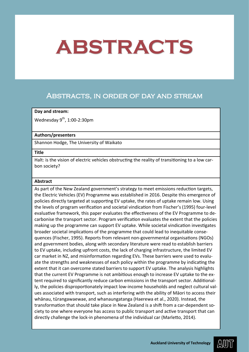### Abstracts, in order of day and stream

### **Day and stream:**

Wednesday  $9^{th}$ , 1:00-2:30pm

### **Authors/presenters**

Shannon Hodge, The University of Waikato

#### **Title**

Halt: is the vision of electric vehicles obstructing the reality of transitioning to a low carbon society?

### **Abstract**

As part of the New Zealand government's strategy to meet emissions reduction targets, the Electric Vehicles (EV) Programme was established in 2016. Despite this emergence of policies directly targeted at supporting EV uptake, the rates of uptake remain low. Using the levels of program verification and societal vindication from Fischer's (1995) four-level evaluative framework, this paper evaluates the effectiveness of the EV Programme to decarbonise the transport sector. Program verification evaluates the extent that the policies making up the programme can support EV uptake. While societal vindication investigates broader societal implications of the programme that could lead to inequitable consequences (Fischer, 1995). Reports from relevant non-governmental organisations (NGOs) and government bodies, along with secondary literature were read to establish barriers to EV uptake, including upfront costs, the lack of charging infrastructure, the limited EV car market in NZ, and misinformation regarding EVs. These barriers were used to evaluate the strengths and weaknesses of each policy within the programme by indicating the extent that it can overcome stated barriers to support EV uptake. The analysis highlights that the current EV Programme is not ambitious enough to increase EV uptake to the extent required to significantly reduce carbon emissions in the transport sector. Additionally, the policies disproportionately impact low-income households and neglect cultural values associated with transport, such as interfering with the ability of Māori to access their whānau, tūrangawaewae, and whanaungatanga (Haerewa et al., 2020). Instead, the transformation that should take place in New Zealand is a shift from a car-dependent society to one where everyone has access to public transport and active transport that can directly challenge the lock-in phenomena of the individual car (Marletto, 2014).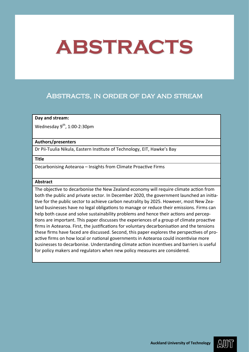## Abstracts, in order of day and stream

### **Day and stream:**

Wednesday  $9^{th}$ , 1:00-2:30pm

### **Authors/presenters**

Dr Pii-Tuulia Nikula, Eastern Institute of Technology, EIT, Hawke's Bay

#### **Title**

Decarbonising Aotearoa – Insights from Climate Proactive Firms

### **Abstract**

The objective to decarbonise the New Zealand economy will require climate action from both the public and private sector. In December 2020, the government launched an initiative for the public sector to achieve carbon neutrality by 2025. However, most New Zealand businesses have no legal obligations to manage or reduce their emissions. Firms can help both cause and solve sustainability problems and hence their actions and perceptions are important. This paper discusses the experiences of a group of climate proactive firms in Aotearoa. First, the justifications for voluntary decarbonisation and the tensions these firms have faced are discussed. Second, this paper explores the perspectives of proactive firms on how local or national governments in Aotearoa could incentivise more businesses to decarbonise. Understanding climate action incentives and barriers is useful for policy makers and regulators when new policy measures are considered.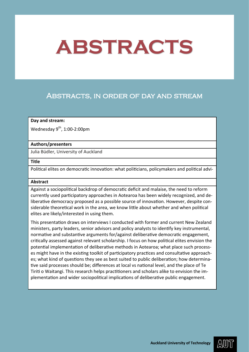## Abstracts, in order of day and stream

### **Day and stream:**

Wednesday  $9^{th}$ , 1:00-2:00pm

### **Authors/presenters**

Julia Büdler, University of Auckland

### **Title**

Political elites on democratic innovation: what politicians, policymakers and political advi-

### **Abstract**

Against a sociopolitical backdrop of democratic deficit and malaise, the need to reform currently used participatory approaches in Aotearoa has been widely recognized, and deliberative democracy proposed as a possible source of innovation. However, despite considerable theoretical work in the area, we know little about whether and when political elites are likely/interested in using them.

This presentation draws on interviews I conducted with former and current New Zealand ministers, party leaders, senior advisors and policy analysts to identify key instrumental, normative and substantive arguments for/against deliberative democratic engagement, critically assessed against relevant scholarship. I focus on how political elites envision the potential implementation of deliberative methods in Aotearoa; what place such processes might have in the existing toolkit of participatory practices and consultative approaches; what kind of questions they see as best suited to public deliberation; how determinative said processes should be; differences at local vs national level, and the place of Te Tiriti o Waitangi. This research helps practitioners and scholars alike to envision the implementation and wider sociopolitical implications of deliberative public engagement.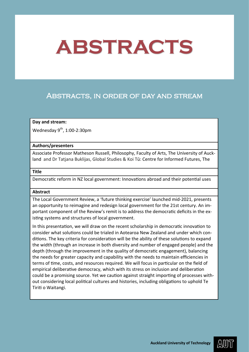## Abstracts, in order of day and stream

### **Day and stream:**

Wednesday  $9^{th}$ , 1:00-2:30pm

### **Authors/presenters**

Associate Professor Matheson Russell, Philosophy, Faculty of Arts, The University of Auckland and Dr Tatjana Buklijas, Global Studies & Koi Tū: Centre for Informed Futures, The

### **Title**

Democratic reform in NZ local government: Innovations abroad and their potential uses

### **Abstract**

The Local Government Review, a 'future thinking exercise' launched mid-2021, presents an opportunity to reimagine and redesign local government for the 21st century. An important component of the Review's remit is to address the democratic deficits in the existing systems and structures of local government.

In this presentation, we will draw on the recent scholarship in democratic innovation to consider what solutions could be trialed in Aotearoa New Zealand and under which conditions. The key criteria for consideration will be the ability of these solutions to expand the width (through an increase in both diversity and number of engaged people) and the depth (through the improvement in the quality of democratic engagement), balancing the needs for greater capacity and capability with the needs to maintain efficiencies in terms of time, costs, and resources required. We will focus in particular on the field of empirical deliberative democracy, which with its stress on inclusion and deliberation could be a promising source. Yet we caution against straight importing of processes without considering local political cultures and histories, including obligations to uphold Te Tiriti o Waitangi.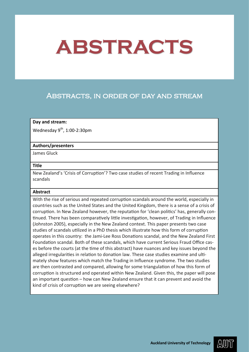## Abstracts, in order of day and stream

### **Day and stream:**

Wednesday  $9^{th}$ , 1:00-2:30pm

### **Authors/presenters**

James Gluck

#### **Title**

New Zealand's 'Crisis of Corruption'? Two case studies of recent Trading in Influence scandals

### **Abstract**

With the rise of serious and repeated corruption scandals around the world, especially in countries such as the United States and the United Kingdom, there is a sense of a crisis of corruption. In New Zealand however, the reputation for 'clean politics' has, generally continued. There has been comparatively little investigation, however, of Trading in Influence (Johnston 2005), especially in the New Zealand context. This paper presents two case studies of scandals utilized in a PhD thesis which illustrate how this form of corruption operates in this country: the Jami-Lee Ross Donations scandal, and the New Zealand First Foundation scandal. Both of these scandals, which have current Serious Fraud Office cases before the courts (at the time of this abstract) have nuances and key issues beyond the alleged irregularities in relation to donation law. These case studies examine and ultimately show features which match the Trading in Influence syndrome. The two studies are then contrasted and compared, allowing for some triangulation of how this form of corruption is structured and operated within New Zealand. Given this, the paper will pose an important question – how can New Zealand ensure that it can prevent and avoid the kind of crisis of corruption we are seeing elsewhere?

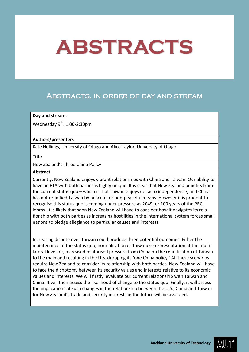## Abstracts, in order of day and stream

### **Day and stream:**

Wednesday  $9^{th}$ , 1:00-2:30pm

### **Authors/presenters**

Kate Hellings, University of Otago and Alice Taylor, University of Otago

#### **Title**

New Zealand's Three China Policy

#### **Abstract**

Currently, New Zealand enjoys vibrant relationships with China and Taiwan. Our ability to have an FTA with both parties is highly unique. It is clear that New Zealand benefits from the current status quo – which is that Taiwan enjoys de facto independence, and China has not reunified Taiwan by peaceful or non-peaceful means. However it is prudent to recognise this status quo is coming under pressure as 2049, or 100 years of the PRC, looms. It is likely that soon New Zealand will have to consider how it navigates its relationship with both parties as increasing hostilities in the international system forces small nations to pledge allegiance to particular causes and interests.

Increasing dispute over Taiwan could produce three potential outcomes. Either the maintenance of the status quo; normalisation of Taiwanese representation at the multilateral level; or, increased militarised pressure from China on the reunification of Taiwan to the mainland resulting in the U.S. dropping its 'one China policy.' All these scenarios require New Zealand to consider its relationship with both parties. New Zealand will have to face the dichotomy between its security values and interests relative to its economic values and interests. We will firstly evaluate our current relationship with Taiwan and China. It will then assess the likelihood of change to the status quo. Finally, it will assess the implications of such changes in the relationship between the U.S., China and Taiwan for New Zealand's trade and security interests in the future will be assessed.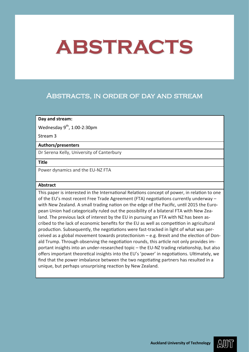## Abstracts, in order of day and stream

### **Day and stream:**

Wednesday  $9^{th}$ , 1:00-2:30pm

Stream 3

### **Authors/presenters**

Dr Serena Kelly, University of Canterbury

### **Title**

Power dynamics and the EU-NZ FTA

### **Abstract**

This paper is interested in the International Relations concept of power, in relation to one of the EU's most recent Free Trade Agreement (FTA) negotiations currently underway – with New Zealand. A small trading nation on the edge of the Pacific, until 2015 the European Union had categorically ruled out the possibility of a bilateral FTA with New Zealand. The previous lack of interest by the EU in pursuing an FTA with NZ has been ascribed to the lack of economic benefits for the EU as well as competition in agricultural production. Subsequently, the negotiations were fast-tracked in light of what was perceived as a global movement towards protectionism – e.g. Brexit and the election of Donald Trump. Through observing the negotiation rounds, this article not only provides important insights into an under-researched topic – the EU-NZ trading relationship, but also offers important theoretical insights into the EU's 'power' in negotiations. Ultimately, we find that the power imbalance between the two negotiating partners has resulted in a unique, but perhaps unsurprising reaction by New Zealand.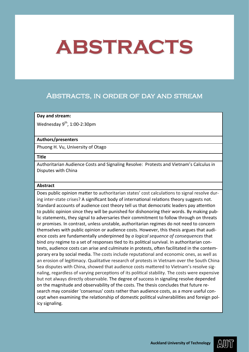### Abstracts, in order of day and stream

### **Day and stream:**

Wednesday  $9^{th}$ , 1:00-2:30pm

### **Authors/presenters**

Phuong H. Vu, University of Otago

#### **Title**

Authoritarian Audience Costs and Signaling Resolve: Protests and Vietnam's Calculus in Disputes with China

### **Abstract**

Does public opinion matter to authoritarian states' cost calculations to signal resolve during inter-state crises? A significant body of international relations theory suggests not. Standard accounts of audience cost theory tell us that democratic leaders pay attention to public opinion since they will be punished for dishonoring their words. By making public statements, they signal to adversaries their commitment to follow through on threats or promises. In contrast, unless unstable, authoritarian regimes do not need to concern themselves with public opinion or audience costs. However, this thesis argues that audience costs are fundamentally underpinned by *a logical sequence of consequences* that bind *any* regime to a set of responses tied to its political survival. In authoritarian contexts, audience costs can arise and culminate in protests, often facilitated in the contemporary era by social media. The costs include reputational and economic ones, as well as an erosion of legitimacy. Qualitative research of protests in Vietnam over the South China Sea disputes with China, showed that audience costs mattered to Vietnam's resolve signaling, regardless of varying perceptions of its political stability. The costs were expensive but not always directly observable. The degree of success in signaling resolve depended on the magnitude and observability of the costs. The thesis concludes that future research may consider 'consensus' costs rather than audience costs, as a more useful concept when examining the relationship of domestic political vulnerabilities and foreign policy signaling.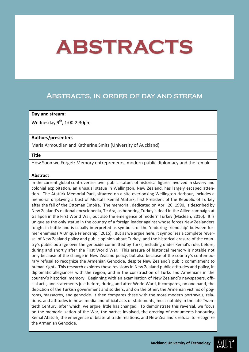### Abstracts, in order of day and stream

### **Day and stream:**

Wednesday  $9^{th}$ , 1:00-2:30pm

### **Authors/presenters**

Maria Armoudian and Katherine Smits (University of Auckland)

#### **Title**

How Soon we Forget: Memory entrepreneurs, modern public diplomacy and the remak-

#### **Abstract**

In the current global controversies over public statues of historical figures involved in slavery and colonial exploitation, an unusual statue in Wellington, New Zealand, has largely escaped attention. The Atatürk Memorial Park, situated on a site overlooking Wellington Harbour, includes a memorial displaying a bust of Mustafa Kemal Atatürk, first President of the Republic of Turkey after the fall of the Ottoman Empire. The memorial, dedicated on April 26, 1990, is described by New Zealand's national encyclopedia, Te Ara, as honoring Turkey's dead in the Allied campaign at Gallipoli in the First World War, but also the emergence of modern Turkey (Maclean, 2016). It is unique as the only statue in the country of a foreign leader against whose forces New Zealanders fought in battle and is usually interpreted as symbolic of the 'enduring friendship' between former enemies ('A Unique Friendship,' 2015). But as we argue here, it symbolizes a complete reversal of New Zealand policy and public opinion about Turkey, and the historical erasure of the country's public outrage over the genocide committed by Turks, including under Kemal's rule, before, during and shortly after the First World War. This erasure of historical memory is notable not only because of the change in New Zealand policy, but also because of the country's contemporary refusal to recognize the Armenian Genocide, despite New Zealand's public commitment to human rights. This research explores these revisions in New Zealand public attitudes and policy, in diplomatic allegiances with the region, and in the construction of Turks and Armenians in the country's historical memory. Beginning with an examination of New Zealand's newspapers, official acts, and statements just before, during and after World War I, it compares, on one hand, the depiction of the Turkish government and soldiers, and on the other, the Armenian victims of pogroms, massacres, and genocide. It then compares these with the more modern portrayals, relations, and attitudes in news media and official acts or statements, most notably in the late Twentieth Century, after which, we argue, little has changed. To demonstrate this reversal, we focus on the memorialization of the War, the parties involved, the erecting of monuments honouring Kemal Atatürk, the emergence of bilateral trade relations, and New Zealand's refusal to recognize the Armenian Genocide.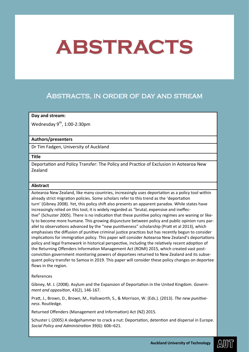## Abstracts, in order of day and stream

### **Day and stream:**

Wednesday  $9^{th}$ , 1:00-2:30pm

### **Authors/presenters**

Dr Tim Fadgen, University of Auckland

### **Title**

Deportation and Policy Transfer: The Policy and Practice of Exclusion in Aotearoa New Zealand

### **Abstract**

Aotearoa New Zealand, like many countries, increasingly uses deportation as a policy tool within already strict migration policies. Some scholars refer to this trend as the 'deportation turn' (Gibney 2008). Yet, this policy shift also presents an apparent paradox. While states have increasingly relied on this tool, it is widely regarded as "brutal, expensive and ineffective" (Schuster 2005). There is no indication that these punitive policy regimes are waning or likely to become more humane. This growing disjuncture between policy and public opinion runs parallel to observations advanced by the "new punitiveness" scholarship (Pratt et al 2013), which emphasises the diffusion of punitive criminal justice practices but has recently begun to consider implications for immigration policy. This paper will consider Aotearoa New Zealand's deportations policy and legal framework in historical perspective, including the relatively recent adoption of the Returning Offenders Information Management Act (ROMI) 2015, which created vast postconviction government monitoring powers of deportees returned to New Zealand and its subsequent policy transfer to Samoa in 2019. This paper will consider these policy changes on deportee flows in the region.

### References

Gibney, M. J. (2008). Asylum and the Expansion of Deportation in the United Kingdom. *Government and opposition*, 43(2), 146-167.

Pratt, J., Brown, D., Brown, M., Hallsworth, S., & Morrison, W. (Eds.). (2013). *The new punitiveness*. Routledge.

Returned Offenders (Management and Information) Act (NZ) 2015.

Schuster L (2005) A sledgehammer to crack a nut: Deportation, detention and dispersal in Europe. *Social Policy and Administration* 39(6): 606–621.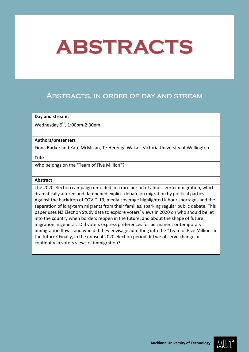## Abstracts, in order of day and stream

### **Day and stream:**

Wednesday  $9<sup>th</sup>$ , 1:00pm-2:30pm

### **Authors/presenters**

Fiona Barker and Kate McMillan, Te Herenga Waka—Victoria University of Wellington

#### **Title**

Who belongs on the "Team of Five Million"?

### **Abstract**

The 2020 election campaign unfolded in a rare period of almost zero immigration, which dramatically altered and dampened explicit debate on migration by political parties. Against the backdrop of COVID-19, media coverage highlighted labour shortages and the separation of long-term migrants from their families, sparking regular public debate. This paper uses NZ Election Study data to explore voters' views in 2020 on who should be let into the country when borders reopen in the future, and about the shape of future migration in general. Did voters express preferences for permanent or temporary immigration flows, and who did they envisage admitting into the "Team of Five Million" in the future? Finally, in the unusual 2020 election period did we observe change or continuity in voters views of immigration?

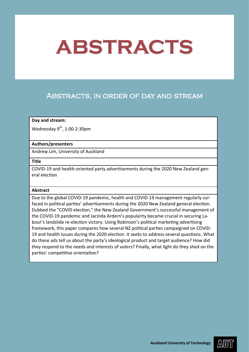## Abstracts, in order of day and stream

### **Day and stream:**

Wednesday  $9^{th}$ , 1:00-2:30pm

### **Authors/presenters**

Andrew Lim, University of Auckland

**Title**

COVID-19 and health-oriented party advertisements during the 2020 New Zealand general election

### **Abstract**

Due to the global COVID-19 pandemic, health and COVID-19 management regularly surfaced in political parties' advertisements during the 2020 New Zealand general election. Dubbed the "COVID election," the New Zealand Government's successful management of the COVID-19 pandemic and Jacinda Ardern's popularity became crucial in securing Labour's landslide re-election victory. Using Robinson's political marketing advertising framework, this paper compares how several NZ political parties campaigned on COVID-19 and health issues during the 2020 election. It seeks to address several questions. What do these ads tell us about the party's ideological product and target audience? How did they respond to the needs and interests of voters? Finally, what light do they shed on the parties' competitive orientation?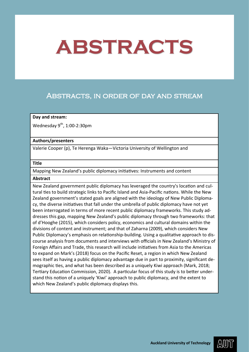### Abstracts, in order of day and stream

### **Day and stream:**

Wednesday  $9^{th}$ , 1:00-2:30pm

### **Authors/presenters**

Valerie Cooper (p), Te Herenga Waka—Victoria University of Wellington and

### **Title**

Mapping New Zealand's public diplomacy initiatives: Instruments and content

### **Abstract**

New Zealand government public diplomacy has leveraged the country's location and cultural ties to build strategic links to Pacific Island and Asia-Pacific nations. While the New Zealand government's stated goals are aligned with the ideology of New Public Diplomacy, the diverse initiatives that fall under the umbrella of public diplomacy have not yet been interrogated in terms of more recent public diplomacy frameworks. This study addresses this gap, mapping New Zealand's public diplomacy through two frameworks: that of d'Hooghe (2015), which considers policy, economics and cultural domains within the divisions of content and instrument; and that of Zaharna (2009), which considers New Public Diplomacy's emphasis on relationship-building. Using a qualitative approach to discourse analysis from documents and interviews with officials in New Zealand's Ministry of Foreign Affairs and Trade, this research will include initiatives from Asia to the Americas to expand on Mark's (2018) focus on the Pacific Reset, a region in which New Zealand sees itself as having a public diplomacy advantage due in part to proximity, significant demographic ties, and what has been described as a uniquely Kiwi approach (Mark, 2018; Tertiary Education Commission, 2020). A particular focus of this study is to better understand this notion of a uniquely 'Kiwi' approach to public diplomacy, and the extent to which New Zealand's public diplomacy displays this.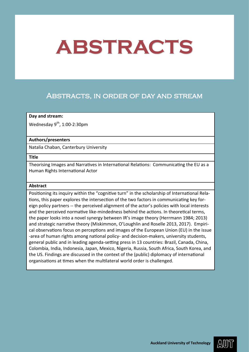## Abstracts, in order of day and stream

### **Day and stream:**

Wednesday  $9^{th}$ , 1:00-2:30pm

### **Authors/presenters**

Natalia Chaban, Canterbury University

### **Title**

Theorising Images and Narratives in International Relations: Communicating the EU as a Human Rights International Actor

### **Abstract**

Positioning its inquiry within the "cognitive turn" in the scholarship of International Relations, this paper explores the intersection of the two factors in communicating key foreign policy partners -- the perceived alignment of the actor's policies with local interests and the perceived normative like-mindedness behind the actions. In theoretical terms, the paper looks into a novel synergy between IR's image theory (Herrmann 1984; 2013) and strategic narrative theory (Miskimmon, O'Loughlin and Roselle 2013, 2017). Empirical observations focus on perceptions and images of the European Union (EU) in the issue -area of human rights among national policy- and decision-makers, university students, general public and in leading agenda-setting press in 13 countries: Brazil, Canada, China, Colombia, India, Indonesia, Japan, Mexico, Nigeria, Russia, South Africa, South Korea, and the US. Findings are discussed in the context of the (public) diplomacy of international organisations at times when the multilateral world order is challenged.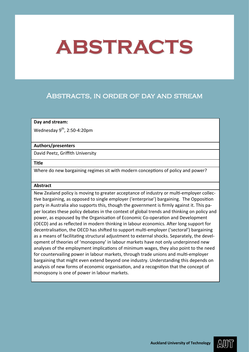## Abstracts, in order of day and stream

### **Day and stream:**

Wednesday  $9^{th}$ , 2:50-4:20pm

### **Authors/presenters**

David Peetz, Griffith University

### **Title**

Where do new bargaining regimes sit with modern conceptions of policy and power?

### **Abstract**

New Zealand policy is moving to greater acceptance of industry or multi-employer collective bargaining, as opposed to single employer ('enterprise') bargaining. The Opposition party in Australia also supports this, though the government is firmly against it. This paper locates these policy debates in the context of global trends and thinking on policy and power, as espoused by the Organisation of Economic Co-operation and Development (OECD) and as reflected in modern thinking in labour economics. After long support for decentralisation, the OECD has shifted to support multi-employer ('sectoral') bargaining as a means of facilitating structural adjustment to external shocks. Separately, the development of theories of 'monopsony' in labour markets have not only underpinned new analyses of the employment implications of minimum wages, they also point to the need for countervailing power in labour markets, through trade unions and multi-employer bargaining that might even extend beyond one industry. Understanding this depends on analysis of new forms of economic organisation, and a recognition that the concept of monopsony is one of power in labour markets.

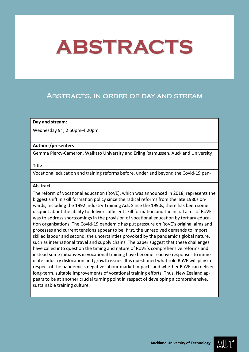## Abstracts, in order of day and stream

### **Day and stream:**

Wednesday  $9^{th}$ , 2:50pm-4:20pm

#### **Authors/presenters**

Gemma Piercy-Cameron, Waikato University and Erling Rasmussen, Auckland University

#### **Title**

Vocational education and training reforms before, under and beyond the Covid-19 pan-

### **Abstract**

The reform of vocational education (RoVE), which was announced in 2018, represents the biggest shift in skill formation policy since the radical reforms from the late 1980s onwards, including the 1992 Industry Training Act. Since the 1990s, there has been some disquiet about the ability to deliver sufficient skill formation and the initial aims of RoVE was to address shortcomings in the provision of vocational education by tertiary education organisations. The Covid-19 pandemic has put pressure on RoVE's original aims and processes and current tensions appear to be: first, the unresolved demands to import skilled labour and second, the uncertainties provoked by the pandemic's global nature, such as international travel and supply chains. The paper suggest that these challenges have called into question the timing and nature of RoVE's comprehensive reforms and instead some initiatives in vocational training have become reactive responses to immediate industry dislocation and growth issues. It is questioned what role RoVE will play in respect of the pandemic's negative labour market impacts and whether RoVE can deliver long-term, suitable improvements of vocational training efforts. Thus, New Zealand appears to be at another crucial turning point in respect of developing a comprehensive, sustainable training culture.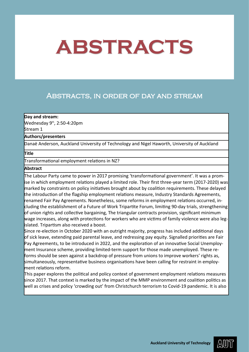## Abstracts, in order of day and stream

### **Day and stream:**

Wednesday  $9<sup>th</sup>$ , 2:50-4:20pm Stream 1

### **Authors/presenters**

Danaë Anderson, Auckland University of Technology and Nigel Haworth, University of Auckland

### **Title**

Transformational employment relations in NZ?

### **Abstract**

The Labour Party came to power in 2017 promising 'transformational government'. It was a promise in which employment relations played a limited role. Their first three-year term (2017-2020) was marked by constraints on policy initiatives brought about by coalition requirements. These delayed the introduction of the flagship employment relations measure, Industry Standards Agreements, renamed Fair Pay Agreements. Nonetheless, some reforms in employment relations occurred, including the establishment of a Future of Work Tripartite Forum, limiting 90-day trials, strengthening of union rights and collective bargaining, The triangular contracts provision, significant minimum wage increases, along with protections for workers who are victims of family violence were also legislated. Tripartism also received a boost.

Since re-election in October 2020 with an outright majority, progress has included additional days of sick leave, extending paid parental leave, and redressing pay equity. Signalled priorities are Fair Pay Agreements, to be introduced in 2022, and the exploration of an innovative Social Unemployment Insurance scheme, providing limited-term support for those made unemployed. These reforms should be seen against a backdrop of pressure from unions to improve workers' rights as, simultaneously, representative business organisations have been calling for restraint in employment relations reform.

This paper explores the political and policy context of government employment relations measures since 2017. That context is marked by the impact of the MMP environment and coalition politics as well as crises and policy 'crowding out' from Christchurch terrorism to Covid-19 pandemic. It is also

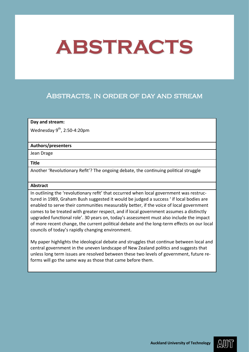## Abstracts, in order of day and stream

### **Day and stream:**

Wednesday  $9^{th}$ , 2:50-4:20pm

### **Authors/presenters**

Jean Drage

### **Title**

Another 'Revolutionary Refit'? The ongoing debate, the continuing political struggle

### **Abstract**

In outlining the 'revolutionary refit' that occurred when local government was restructured in 1989, Graham Bush suggested it would be judged a success ' íf local bodies are enabled to serve their communities measurably better, if the voice of local government comes to be treated with greater respect, and if local government assumes a distinctly upgraded functional role'. 30 years on, today's assessment must also include the impact of more recent change, the current political debate and the long-term effects on our local councils of today's rapidly changing environment.

My paper highlights the ideological debate and struggles that continue between local and central government in the uneven landscape of New Zealand politics and suggests that unless long term issues are resolved between these two levels of government, future reforms will go the same way as those that came before them.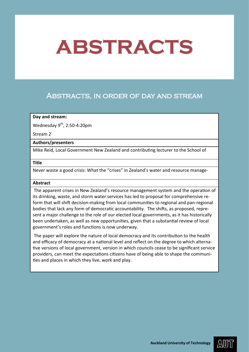## Abstracts, in order of day and stream

### **Day and stream:**

Wednesday  $9^{th}$ , 2:50-4:20pm

Stream 2

### **Authors/presenters**

Mike Reid, Local Government New Zealand and contributing lecturer to the School of

### **Title**

Never waste a good crisis: What the "crises" in Zealand's water and resource manage-

### **Abstract**

The apparent crises in New Zealand's resource management system and the operation of its drinking, waste, and storm water services has led to proposal for comprehensive reform that will shift decision-making from local communities to regional and pan-regional bodies that lack any form of democratic accountability. The shifts, as proposed, represent a major challenge to the role of our elected local governments, as it has historically been undertaken, as well as new opportunities, given that a substantial review of local government's roles and functions is now underway.

The paper will explore the nature of local democracy and its contribution to the health and efficacy of democracy at a national level and reflect on the degree to which alternative versions of local government, version in which councils cease to be significant service providers, can meet the expectations citizens have of being able to shape the communities and places in which they live, work and play.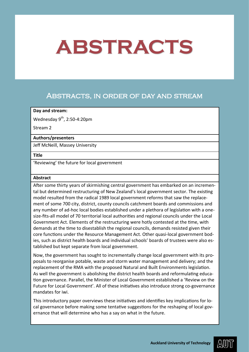### Abstracts, in order of day and stream

### **Day and stream:**

Wednesday  $9^{th}$ , 2:50-4:20pm

Stream 2

### **Authors/presenters**

Jeff McNeill, Massey University

### **Title**

'Reviewing' the future for local government

### **Abstract**

After some thirty years of skirmishing central government has embarked on an incremental but determined restructuring of New Zealand's local government sector. The existing model resulted from the radical 1989 local government reforms that saw the replacement of some 700 city, district, county councils catchment boards and commissions and any number of ad-hoc local bodies established under a plethora of legislation with a onesize-fits-all model of 70 territorial local authorities and regional councils under the Local Government Act. Elements of the restructuring were hotly contested at the time, with demands at the time to disestablish the regional councils, demands resisted given their core functions under the Resource Management Act. Other quasi-local government bodies, such as district health boards and individual schools' boards of trustees were also established but kept separate from local government.

Now, the government has sought to incrementally change local government with its proposals to reorganise potable, waste and storm water management and delivery; and the replacement of the RMA with the proposed Natural and Built Environments legislation. As well the government is abolishing the district health boards and reformulating education governance. Parallel, the Minister of Local Government established a 'Review on the Future for Local Government'. All of these initiatives also introduce strong co-governance mandates for iwi.

This introductory paper overviews these initiatives and identifies key implications for local governance before making some tentative suggestions for the reshaping of local governance that will determine who has a say on what in the future.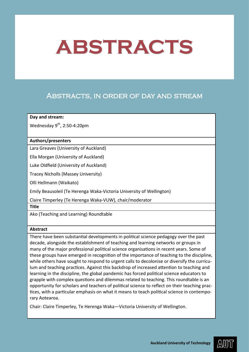## Abstracts, in order of day and stream

**Day and stream:**

Wednesday  $9^{th}$ , 2:50-4:20pm

### **Authors/presenters**

Lara Greaves (University of Auckland)

Ella Morgan (University of Auckland)

Luke Oldfield (University of Auckland)

Tracey Nicholls (Massey University)

Olli Hellmann (Waikato)

Emily Beausoleil (Te Herenga Waka-Victoria University of Wellington)

Claire Timperley (Te Herenga Waka-VUW), chair/moderator

**Title**

Ako (Teaching and Learning) Roundtable

### **Abstract**

There have been substantial developments in political science pedagogy over the past decade, alongside the establishment of teaching and learning networks or groups in many of the major professional political science organisations in recent years. Some of these groups have emerged in recognition of the importance of teaching to the discipline, while others have sought to respond to urgent calls to decolonise or diversify the curriculum and teaching practices. Against this backdrop of increased attention to teaching and learning in the discipline, the global pandemic has forced political science educators to grapple with complex questions and dilemmas related to teaching. This roundtable is an opportunity for scholars and teachers of political science to reflect on their teaching practices, with a particular emphasis on what it means to teach political science in contemporary Aotearoa.

Chair: Claire Timperley, Te Herenga Waka—Victoria University of Wellington.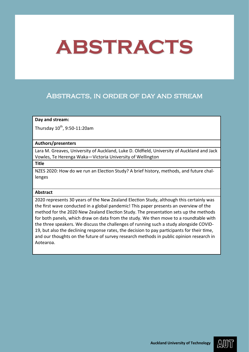## Abstracts, in order of day and stream

### **Day and stream:**

Thursday  $10^{th}$ , 9:50-11:20am

### **Authors/presenters**

Lara M. Greaves, University of Auckland, Luke D. Oldfield, University of Auckland and Jack Vowles, Te Herenga Waka—Victoria University of Wellington

**Title**

NZES 2020: How do we run an Election Study? A brief history, methods, and future challenges

### **Abstract**

2020 represents 30 years of the New Zealand Election Study, although this certainly was the first wave conducted in a global pandemic! This paper presents an overview of the method for the 2020 New Zealand Election Study. The presentation sets up the methods for both panels, which draw on data from the study. We then move to a roundtable with the three speakers. We discuss the challenges of running such a study alongside COVID-19, but also the declining response rates, the decision to pay participants for their time, and our thoughts on the future of survey research methods in public opinion research in Aotearoa.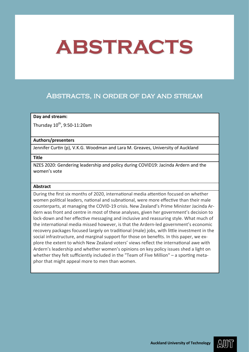### Abstracts, in order of day and stream

### **Day and stream:**

Thursday  $10^{th}$ , 9:50-11:20am

### **Authors/presenters**

Jennifer Curtin (p), V.K.G. Woodman and Lara M. Greaves, University of Auckland

### **Title**

NZES 2020: Gendering leadership and policy during COVID19: Jacinda Ardern and the women's vote

### **Abstract**

During the first six months of 2020, international media attention focused on whether women political leaders, national and subnational, were more effective than their male counterparts, at managing the COVID-19 crisis. New Zealand's Prime Minister Jacinda Ardern was front and centre in most of these analyses, given her government's decision to lock-down and her effective messaging and inclusive and reassuring style. What much of the international media missed however, is that the Ardern-led government's economic recovery packages focused largely on traditional (male) jobs, with little investment in the social infrastructure, and marginal support for those on benefits. In this paper, we explore the extent to which New Zealand voters' views reflect the international awe with Ardern's leadership and whether women's opinions on key policy issues shed a light on whether they felt sufficiently included in the "Team of Five Million" – a sporting metaphor that might appeal more to men than women.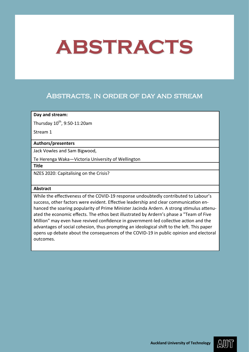## Abstracts, in order of day and stream

### **Day and stream:**

Thursday  $10^{th}$ , 9:50-11:20am

Stream 1

### **Authors/presenters**

Jack Vowles and Sam Bigwood,

Te Herenga Waka—Victoria University of Wellington

**Title**

NZES 2020: Capitalising on the Crisis?

### **Abstract**

While the effectiveness of the COVID-19 response undoubtedly contributed to Labour's success, other factors were evident. Effective leadership and clear communication enhanced the soaring popularity of Prime Minister Jacinda Ardern. A strong stimulus attenuated the economic effects. The ethos best illustrated by Ardern's phase a "Team of Five Million" may even have revived confidence in government-led collective action and the advantages of social cohesion, thus prompting an ideological shift to the left. This paper opens up debate about the consequences of the COVID-19 in public opinion and electoral outcomes.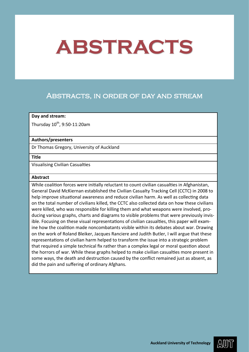### Abstracts, in order of day and stream

### **Day and stream:**

Thursday  $10^{th}$ , 9:50-11:20am

### **Authors/presenters**

Dr Thomas Gregory, University of Auckland

#### **Title**

Visualising Civilian Casualties

#### **Abstract**

While coalition forces were initially reluctant to count civilian casualties in Afghanistan, General David McKiernan established the Civilian Casualty Tracking Cell (CCTC) in 2008 to help improve situational awareness and reduce civilian harm. As well as collecting data on the total number of civilians killed, the CCTC also collected data on how these civilians were killed, who was responsible for killing them and what weapons were involved, producing various graphs, charts and diagrams to visible problems that were previously invisible. Focusing on these visual representations of civilian casualties, this paper will examine how the coalition made noncombatants visible within its debates about war. Drawing on the work of Roland Bleiker, Jacques Ranciere and Judith Butler, I will argue that these representations of civilian harm helped to transform the issue into a strategic problem that required a simple technical fix rather than a complex legal or moral question about the horrors of war. While these graphs helped to make civilian casualties more present in some ways, the death and destruction caused by the conflict remained just as absent, as did the pain and suffering of ordinary Afghans.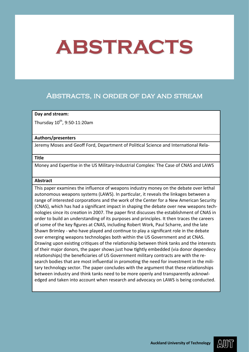## Abstracts, in order of day and stream

### **Day and stream:**

Thursday  $10^{th}$ , 9:50-11:20am

### **Authors/presenters**

Jeremy Moses and Geoff Ford, Department of Political Science and International Rela-

### **Title**

Money and Expertise in the US Military-Industrial Complex: The Case of CNAS and LAWS

### **Abstract**

This paper examines the influence of weapons industry money on the debate over lethal autonomous weapons systems (LAWS). In particular, it reveals the linkages between a range of interested corporations and the work of the Center for a New American Security (CNAS), which has had a significant impact in shaping the debate over new weapons technologies since its creation in 2007. The paper first discusses the establishment of CNAS in order to build an understanding of its purposes and principles. It then traces the careers of some of the key figures at CNAS, including Robert Work, Paul Scharre, and the late Shawn Brimley - who have played and continue to play a significant role in the debate over emerging weapons technologies both within the US Government and at CNAS. Drawing upon existing critiques of the relationship between think tanks and the interests of their major donors, the paper shows just how tightly embedded (via donor dependecy relationships) the beneficiaries of US Government military contracts are with the research bodies that are most influential in promoting the need for investment in the military technology sector. The paper concludes with the argument that these relationships between industry and think tanks need to be more openly and transparently acknowledged and taken into account when research and advocacy on LAWS is being conducted.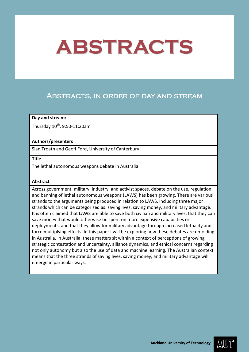## Abstracts, in order of day and stream

### **Day and stream:**

Thursday  $10^{th}$ , 9:50-11:20am

### **Authors/presenters**

Sian Troath and Geoff Ford, University of Canterbury

#### **Title**

The lethal autonomous weapons debate in Australia

### **Abstract**

Across government, military, industry, and activist spaces, debate on the use, regulation, and banning of lethal autonomous weapons (LAWS) has been growing. There are various strands to the arguments being produced in relation to LAWS, including three major strands which can be categorised as: saving lives, saving money, and military advantage. It is often claimed that LAWS are able to save both civilian and military lives, that they can save money that would otherwise be spent on more expensive capabilities or deployments, and that they allow for military advantage through increased lethality and force multiplying effects. In this paper I will be exploring how these debates are unfolding in Australia. In Australia, these matters sit within a context of perceptions of growing strategic contestation and uncertainty, alliance dynamics, and ethical concerns regarding not only autonomy but also the use of data and machine learning. The Australian context means that the three strands of saving lives, saving money, and military advantage will emerge in particular ways.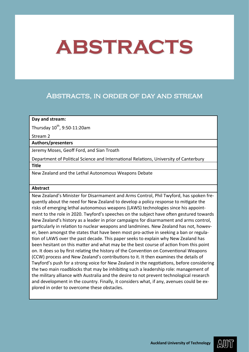## Abstracts, in order of day and stream

### **Day and stream:**

Thursday  $10^{th}$ , 9:50-11:20am

Stream 2

### **Authors/presenters**

Jeremy Moses, Geoff Ford, and Sian Troath

Department of Political Science and International Relations, University of Canterbury

**Title**

New Zealand and the Lethal Autonomous Weapons Debate

### **Abstract**

New Zealand's Minister for Disarmament and Arms Control, Phil Twyford, has spoken frequently about the need for New Zealand to develop a policy response to mitigate the risks of emerging lethal autonomous weapons (LAWS) technologies since his appointment to the role in 2020. Twyford's speeches on the subject have often gestured towards New Zealand's history as a leader in prior campaigns for disarmament and arms control, particularly in relation to nuclear weapons and landmines. New Zealand has not, however, been amongst the states that have been most pro-active in seeking a ban or regulation of LAWS over the past decade. This paper seeks to explain why New Zealand has been hesitant on this matter and what may be the best course of action from this point on. It does so by first relating the history of the Convention on Conventional Weapons (CCW) process and New Zealand's contributions to it. It then examines the details of Twyford's push for a strong voice for New Zealand in the negotiations, before considering the two main roadblocks that may be inhibiting such a leadership role: management of the military alliance with Australia and the desire to not prevent technological research and development in the country. Finally, it considers what, if any, avenues could be explored in order to overcome these obstacles.

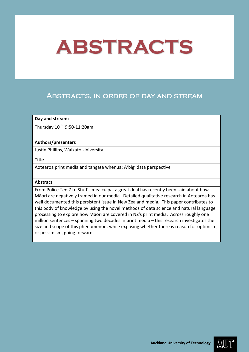# Abstracts, in order of day and stream

## **Day and stream:**

Thursday  $10^{th}$ , 9:50-11:20am

## **Authors/presenters**

Justin Phillips, Waikato University

#### **Title**

Aotearoa print media and tangata whenua: A'big' data perspective

## **Abstract**

From Police Ten 7 to Stuff's mea culpa, a great deal has recently been said about how Māori are negatively framed in our media. Detailed qualitative research in Aotearoa has well documented this persistent issue in New Zealand media. This paper contributes to this body of knowledge by using the novel methods of data science and natural language processing to explore how Māori are covered in NZ's print media. Across roughly one million sentences – spanning two decades in print media – this research investigates the size and scope of this phenomenon, while exposing whether there is reason for optimism, or pessimism, going forward.

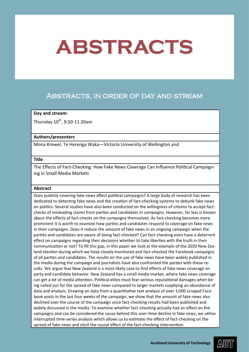# Abstracts, in order of day and stream

## **Day and stream:**

Thursday  $10^{th}$ , 9:50-11:20am

## **Authors/presenters**

Mona Krewel, Te Herenga Waka—Victoria University of Wellington and

## **Title**

The Effects of Fact-Checking: How Fake News Coverage Can Influence Political Campaigning in Small Media Markets

## **Abstract**

Does publicly covering fake news affect political campaigns? A large body of research has been dedicated to detecting fake news and the creation of fact-checking systems to debunk fake news on politics. Several studies have also been conducted on the willingness of citizens to accept factchecks of misleading claims from parties and candidates in campaigns. However, far less is known about the effects of fact-checks on the campaigns themselves. As fact-checking becomes more prominent it is worth to examine how parties and candidates respond to coverage on fake news in their campaigns. Does it reduce the amount of fake news in an ongoing campaign when the parties and candidates are aware of being fact-checked? Can fact-checking even have a deterrent effect on campaigns regarding their decisions whether to take liberties with the truth in their communication or not? To fill this gap, in this paper we look at the example of the 2020 New Zealand election during which we have closely monitored and fact-checked the Facebook campaigns of all parties and candidates. The results on the use of fake news have been widely published in the media during the campaign and journalists have also confronted the parties with these results. We argue that New Zealand is a most-likely case to find effects of fake news coverage on party and candidate behavior. New Zealand has a small media market, where fake news coverage can get a lot of media attention. Political elites must fear serious reputational damages when being called out for the spread of fake news compared to larger markets supplying an abundance of data and analysis. Drawing on data from a quantitative text analysis of over 3,000 scraped Facebook posts in the last four weeks of the campaign, we show that the amount of fake news also declined over the course of the campaign once fact-checking results had been published and widely discussed in the media. To examine whether fact-checking actually had an effect on the campaigns and can be considered the cause behind this over-time decline in fake news, we utilize interrupted time-series analysis which allows us to estimate the effect of fact-checking on the spread of fake news and elicit the causal effect of the fact-checking intervention.

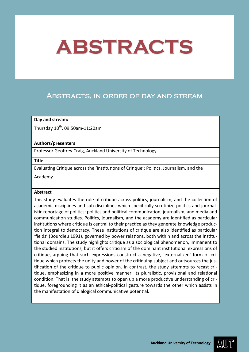# Abstracts, in order of day and stream

## **Day and stream:**

Thursday  $10^{th}$ , 09:50am-11:20am

#### **Authors/presenters**

Professor Geoffrey Craig, Auckland University of Technology

**Title**

Evaluating Critique across the 'Institutions of Critique': Politics, Journalism, and the

Academy

## **Abstract**

This study evaluates the role of critique across politics, journalism, and the collection of academic disciplines and sub-disciplines which specifically scrutinize politics and journalistic reportage of politics: politics and political communication, journalism, and media and communication studies. Politics, journalism, and the academy are identified as particular institutions where critique is central to their practice as they generate knowledge production integral to democracy. These institutions of critique are also identified as particular 'fields' (Bourdieu 1991), governed by power relations, both within and across the institutional domains. The study highlights critique as a sociological phenomenon, immanent to the studied institutions, but it offers criticism of the dominant institutional expressions of critique, arguing that such expressions construct a negative, 'externalized' form of critique which protects the unity and power of the critiquing subject and outsources the justification of the critique to public opinion. In contrast, the study attempts to recast critique, emphasizing in a more positive manner, its pluralistic, provisional and relational condition. That is, the study attempts to open up a more productive understanding of critique, foregrounding it as an ethical-political gesture towards the other which assists in the manifestation of dialogical communicative potential.

AWII)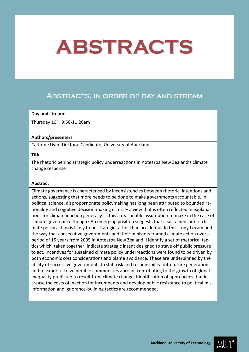# Abstracts, in order of day and stream

## **Day and stream:**

Thursday  $10^{th}$ , 9:50-11:20am

## **Authors/presenters**

Cathrine Dyer, Doctoral Candidate, University of Auckland

## **Title**

The rhetoric behind strategic policy underreactions in Aotearoa New Zealand's climate change response

## **Abstract**

Climate governance is characterised by inconsistencies between rhetoric, intentions and actions, suggesting that more needs to be done to make governments accountable. In political science, disproportionate policymaking has long been attributed to bounded rationality and cognitive decision-making errors – a view that is often reflected in explanations for climate inaction generally. Is this a reasonable assumption to make in the case of climate governance though? An emerging position suggests that a sustained lack of climate policy action is likely to be strategic rather than accidental*.* In this study I examined the way that consecutive governments and their ministers framed climate action over a period of 15 years from 2005 in Aotearoa New Zealand. I identify a set of rhetorical tactics which, taken together, indicate strategic intent designed to stave off public pressure to act. Incentives for sustained climate policy underreactions were found to be driven by both economic cost considerations and blame avoidance. These are underpinned by the ability of successive governments to shift risk and responsibility onto future generations and to export it to vulnerable communities abroad, contributing to the growth of global inequality predicted to result from climate change. Identification of approaches that increase the costs of inaction for incumbents and develop public resistance to political misinformation and ignorance-building tactics are recommended.

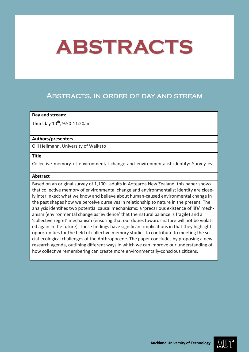# Abstracts, in order of day and stream

## **Day and stream:**

Thursday  $10^{th}$ , 9:50-11:20am

## **Authors/presenters**

Olli Hellmann, University of Waikato

#### **Title**

Collective memory of environmental change and environmentalist identity: Survey evi-

## **Abstract**

Based on an original survey of 1,100+ adults in Aotearoa New Zealand, this paper shows that collective memory of environmental change and environmentalist identity are closely interlinked: what we know and believe about human-caused environmental change in the past shapes how we perceive ourselves in relationship to nature in the present. The analysis identifies two potential causal mechanisms: a 'precarious existence of life' mechanism (environmental change as 'evidence' that the natural balance is fragile) and a 'collective regret' mechanism (ensuring that our duties towards nature will not be violated again in the future). These findings have significant implications in that they highlight opportunities for the field of collective memory studies to contribute to meeting the social-ecological challenges of the Anthropocene. The paper concludes by proposing a new research agenda, outlining different ways in which we can improve our understanding of how collective remembering can create more environmentally-conscious citizens.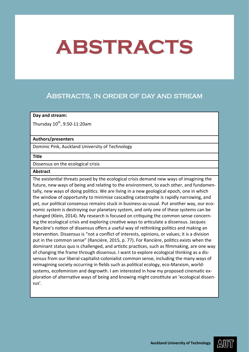# Abstracts, in order of day and stream

## **Day and stream:**

Thursday  $10^{th}$ , 9:50-11:20am

## **Authors/presenters**

Dominic Pink, Auckland University of Technology

#### **Title**

Dissensus on the ecological crisis

## **Abstract**

The existential threats posed by the ecological crisis demand new ways of imagining the future, new ways of being and relating to the environment, to each other, and fundamentally, new ways of doing politics. We are living in a new geological epoch, one in which the window of opportunity to minimise cascading catastrophe is rapidly narrowing, and yet, our political consensus remains stuck in business-as-usual. Put another way, our economic system is destroying our planetary system, and only one of these systems can be changed (Klein, 2014). My research is focused on critiquing the common sense concerning the ecological crisis and exploring creative ways to articulate a dissensus. Jacques Rancière's notion of dissensus offers a useful way of rethinking politics and making an intervention. Dissensus is "not a conflict of interests, opinions, or values; it is a division put in the common sense" (Rancière, 2015, p. 77). For Rancière, politics exists when the dominant status quo is challenged, and artistic practices, such as filmmaking, are one way of changing the frame through dissensus. I want to explore ecological thinking as a dissensus from our liberal-capitalist-colonialist common sense, including the many ways of reimagining society occurring in fields such as political ecology, eco-Marxism, worldsystems, ecofeminism and degrowth. I am interested in how my proposed cinematic exploration of alternative ways of being and knowing might constitute an 'ecological dissensus'.

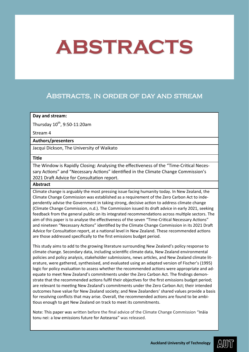# Abstracts, in order of day and stream

### **Day and stream:**

Thursday  $10^{th}$ , 9:50-11:20am

#### Stream 4

## **Authors/presenters**

Jacqui Dickson, The University of Waikato

#### **Title**

The Window is Rapidly Closing: Analysing the effectiveness of the "Time-Critical Necessary Actions" and "Necessary Actions" identified in the Climate Change Commission's 2021 Draft Advice for Consultation report.

## **Abstract**

Climate change is arguably the most pressing issue facing humanity today. In New Zealand, the Climate Change Commission was established as a requirement of the Zero Carbon Act to independently advise the Government in taking strong, decisive action to address climate change (Climate Change Commission, n.d.). The Commission issued its draft advice in early 2021, seeking feedback from the general public on its integrated recommendations across multiple sectors. The aim of this paper is to analyse the effectiveness of the seven "Time-Critical Necessary Actions" and nineteen "Necessary Actions" identified by the Climate Change Commission in its 2021 Draft Advice for Consultation report, at a national level in New Zealand. These recommended actions are those addressed specifically to the first emissions budget period.

This study aims to add to the growing literature surrounding New Zealand's policy response to climate change. Secondary data, including scientific climate data, New Zealand environmental policies and policy analysis, stakeholder submissions, news articles, and New Zealand climate literature, were gathered, synthesised, and evaluated using an adapted version of Fischer's (1995) logic for policy evaluation to assess whether the recommended actions were appropriate and adequate to meet New Zealand's commitments under the Zero Carbon Act. The findings demonstrate that the recommended actions fulfil their objectives for the first emissions budget period; are relevant to meeting New Zealand's commitments under the Zero Carbon Act; their intended outcomes have value for New Zealand society; and New Zealanders' shared values provide a basis for resolving conflicts that may arise. Overall, the recommended actions are found to be ambitious enough to get New Zealand on track to meet its commitments.

Note: This paper was written before the final advice of the Climate Change Commission "Ināia tonu nei: a low emissions future for Aotearoa" was released.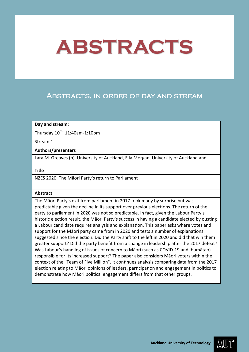# Abstracts, in order of day and stream

## **Day and stream:**

Thursday  $10^{th}$ , 11:40am-1:10pm

Stream 1

## **Authors/presenters**

Lara M. Greaves (p), University of Auckland, Ella Morgan, University of Auckland and

**Title**

NZES 2020: The Māori Party's return to Parliament

## **Abstract**

The Māori Party's exit from parliament in 2017 took many by surprise but was predictable given the decline in its support over previous elections. The return of the party to parliament in 2020 was not so predictable. In fact, given the Labour Party's historic election result, the Māori Party's success in having a candidate elected by ousting a Labour candidate requires analysis and explanation. This paper asks where votes and support for the Māori party came from in 2020 and tests a number of explanations suggested since the election. Did the Party shift to the left in 2020 and did that win them greater support? Did the party benefit from a change in leadership after the 2017 defeat? Was Labour's handling of issues of concern to Māori (such as COVID-19 and Ihumātao) responsible for its increased support? The paper also considers Māori voters within the context of the "Team of Five Million". It continues analysis comparing data from the 2017 election relating to Māori opinions of leaders, participation and engagement in politics to demonstrate how Māori political engagement differs from that other groups.

AWII)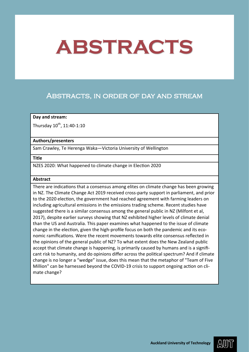# Abstracts, in order of day and stream

## **Day and stream:**

Thursday  $10^{th}$ ,  $11:40-1:10$ 

## **Authors/presenters**

Sam Crawley, Te Herenga Waka—Victoria University of Wellington

## **Title**

NZES 2020: What happened to climate change in Election 2020

## **Abstract**

There are indications that a consensus among elites on climate change has been growing in NZ. The Climate Change Act 2019 received cross-party support in parliament, and prior to the 2020 election, the government had reached agreement with farming leaders on including agricultural emissions in the emissions trading scheme. Recent studies have suggested there is a similar consensus among the general public in NZ (Milfont et al, 2017), despite earlier surveys showing that NZ exhibited higher levels of climate denial than the US and Australia. This paper examines what happened to the issue of climate change in the election, given the high-profile focus on both the pandemic and its economic ramifications. Were the recent movements towards elite consensus reflected in the opinions of the general public of NZ? To what extent does the New Zealand public accept that climate change is happening, is primarily caused by humans and is a significant risk to humanity, and do opinions differ across the political spectrum? And if climate change is no longer a "wedge" issue, does this mean that the metaphor of "Team of Five Million" can be harnessed beyond the COVID-19 crisis to support ongoing action on climate change?

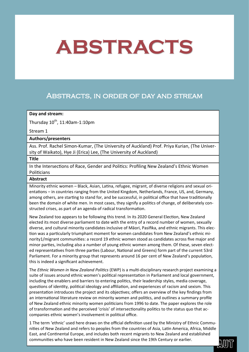# Abstracts, in order of day and stream

## **Day and stream:**

Thursday  $10^{th}$ , 11:40am-1:10pm

## Stream 1

## **Authors/presenters**

Ass. Prof. Rachel Simon-Kumar, (The University of Auckland) Prof. Priya Kurian, (The University of Waikato), Hye Ji (Erica) Lee, (The University of Auckland)

#### **Title**

In the Intersections of Race, Gender and Politics: Profiling New Zealand's Ethnic Women **Politicians** 

## **Abstract**

Minority ethnic women – Black, Asian, Latina, refugee, migrant, of diverse religions and sexual orientations – in countries ranging from the United Kingdom, Netherlands, France, US, and, Germany, among others, are starting to stand for, and be successful, in political office that have traditionally been the domain of white men. In most cases, they signify a politics of change, of deliberately constructed crises, as part of an agenda of radical transformation.

New Zealand too appears to be following this trend. In its 2020 General Election, New Zealand elected its most diverse parliament to date with the entry of a record number of women, sexually diverse, and cultural minority candidates inclusive of Māori, Pasifika, and ethnic migrants. This election was a particularly triumphant moment for women candidates from New Zealand's ethnic minority1/migrant communities: a record 19 ethnic women stood as candidates across five major and minor parties, including also a number of young ethnic women among them. Of these, seven elected representatives from three parties (Labour, National and Greens) form part of the current 53rd Parliament. For a minority group that represents around 16 per cent of New Zealand's population, this is indeed a significant achievement.

The *Ethnic Women in New Zealand Politics* (EWP) is a multi-disciplinary research project examining a suite of issues around ethnic women's political representation in Parliament and local government, including the enablers and barriers to entering politics, their leadership styles, media coverage, questions of identity, political ideology and affiliation, and experiences of racism and sexism. This presentation introduces the project and its objectives; offers an overview of the key findings from an international literature review on minority women and politics, and outlines a summary profile of New Zealand ethnic minority women politicians from 1996 to date. The paper explores the role of transformation and the perceived 'crisis' of intersectionality politics to the status quo that accompanies ethnic women's involvement in political office.

**EURICAND COMMUNITIES WHO have been resident in New Zealand since the 19th Century or earlier.** 1 The term 'ethnic' used here draws on the official definition used by the Ministry of Ethnic Communities of New Zealand and refers to peoples from the countries of Asia, Latin America, Africa, Middle East, and Continental Europe, and includes both recent migrants to New Zealand and established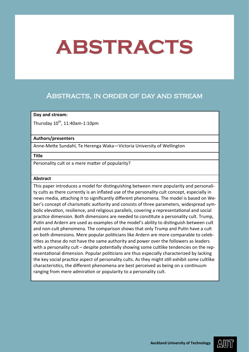# Abstracts, in order of day and stream

## **Day and stream:**

Thursday  $10^{th}$ , 11:40am-1:10pm

## **Authors/presenters**

Anne-Mette Sundahl, Te Herenga Waka—Victoria University of Wellington

## **Title**

Personality cult or a mere matter of popularity?

## **Abstract**

This paper introduces a model for distinguishing between mere popularity and personality cults as there currently is an inflated use of the personality cult concept, especially in news media, attaching it to significantly different phenomena. The model is based on Weber's concept of charismatic authority and consists of three parameters, widespread symbolic elevation, resilience, and religious parallels, covering a representational and social practice dimension. Both dimensions are needed to constitute a personality cult. Trump, Putin and Ardern are used as examples of the model's ability to distinguish between cult and non-cult phenomena. The comparison shows that only Trump and Putin have a cult on both dimensions. Mere popular politicians like Ardern are more comparable to celebrities as these do not have the same authority and power over the followers as leaders with a personality cult – despite potentially showing some cultlike tendencies on the representational dimension. Popular politicians are thus especially characterized by lacking the key social practice aspect of personality cults. As they might still exhibit some cultlike characteristics, the different phenomena are best perceived as being on a continuum ranging from mere admiration or popularity to a personality cult.

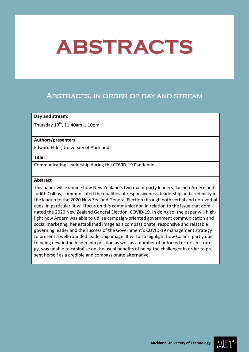# Abstracts, in order of day and stream

## **Day and stream:**

Thursday  $10^{th}$ , 11:40am-1:10pm

## **Authors/presenters**

Edward Elder, University of Auckland

## **Title**

Communicating Leadership during the COVID-19 Pandemic

## **Abstract**

This paper will examine how New Zealand's two major party leaders, Jacinda Ardern and Judith Collins, communicated the qualities of responsiveness, leadership and credibility in the leadup to the 2020 New Zealand General Election through both verbal and non-verbal cues. In particular, it will focus on this communication in relation to the issue that dominated the 2020 New Zealand General Election, COVID-19. In doing so, the paper will highlight how Ardern was able to utilise campaign-oriented government communication and social marketing, her established image as a compassionate, responsive and relatable governing leader and the success of the Government's COVID-19 management strategy to present a well-rounded leadership image. It will also highlight how Collins, partly due to being new in the leadership position as well as a number of unforced errors in strategy, was unable to capitalise on the usual benefits of being the challenger in order to present herself as a credible and compassionate alternative.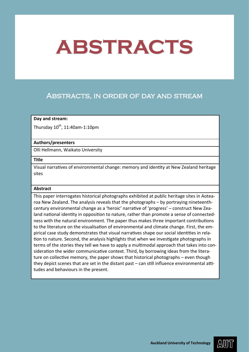# Abstracts, in order of day and stream

## **Day and stream:**

Thursday  $10^{th}$ , 11:40am-1:10pm

## **Authors/presenters**

Olli Hellmann, Waikato University

**Title**

Visual narratives of environmental change: memory and identity at New Zealand heritage sites

#### **Abstract**

This paper interrogates historical photographs exhibited at public heritage sites in Aotearoa New Zealand. The analysis reveals that the photographs – by portraying nineteenthcentury environmental change as a 'heroic' narrative of 'progress' – construct New Zealand national identity in opposition to nature, rather than promote a sense of connectedness with the natural environment. The paper thus makes three important contributions to the literature on the visualisation of environmental and climate change. First, the empirical case study demonstrates that visual narratives shape our social identities in relation to nature. Second, the analysis highlights that when we investigate photographs in terms of the stories they tell we have to apply a multimodal approach that takes into consideration the wider communicative context. Third, by borrowing ideas from the literature on collective memory, the paper shows that historical photographs – even though they depict scenes that are set in the distant past – can still influence environmental attitudes and behaviours in the present.

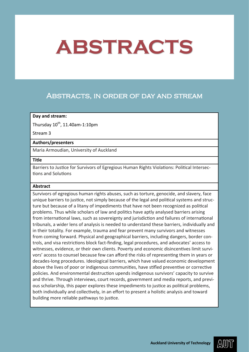# Abstracts, in order of day and stream

## **Day and stream:**

Thursday  $10^{th}$ , 11.40am-1:10pm

Stream 3

## **Authors/presenters**

Maria Armoudian, University of Auckland

#### **Title**

Barriers to Justice for Survivors of Egregious Human Rights Violations: Political Intersections and Solutions

## **Abstract**

Survivors of egregious human rights abuses, such as torture, genocide, and slavery, face unique barriers to justice, not simply because of the legal and political systems and structure but because of a litany of impediments that have not been recognized as political problems. Thus while scholars of law and politics have aptly analysed barriers arising from international laws, such as sovereignty and jurisdiction and failures of international tribunals, a wider lens of analysis is needed to understand these barriers, individually and in their totality. For example, trauma and fear prevent many survivors and witnesses from coming forward. Physical and geographical barriers, including dangers, border controls, and visa restrictions block fact-finding, legal procedures, and advocates' access to witnesses, evidence, or their own clients. Poverty and economic disincentives limit survivors' access to counsel because few can afford the risks of representing them in years or decades-long procedures. Ideological barriers, which have valued economic development above the lives of poor or indigenous communities, have stifled preventive or corrective policies. And environmental destruction upends indigenous survivors' capacity to survive and thrive. Through interviews, court records, government and media reports, and previous scholarship, this paper explores these impediments to justice as political problems, both individually and collectively, in an effort to present a holistic analysis and toward building more reliable pathways to justice.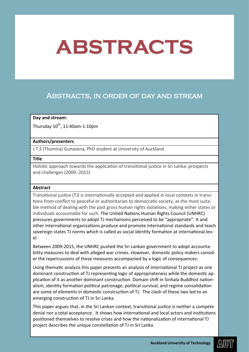# Abstracts, in order of day and stream

## **Day and stream:**

Thursday  $10^{th}$ , 11:40am-1:10pm

## **Authors/presenters**

J.T.S (Thumira) Gunasena, PhD student at University of Auckland

## **Title**

Holistic approach towards the application of transitional justice in Sri Lanka: prospects and challenges (2009 -2015)

## **Abstract**

Transitional justice (TJ) is internationally accepted and applied in local contexts in transitions from conflict to peaceful or authoritarian to democratic society, as the most suitable method of dealing with the past gross human rights violations, making either states or individuals accountable for such. The United Nations Human Rights Council (UNHRC) pressures governments to adopt TJ mechanisms perceived to be "appropriate". It and other international organizations produce and promote international standards and teach sovereign states TJ norms which is called as social identity formation at international level.

Between 2009-2015, the UNHRC pushed the Sri Lankan government to adopt accountability measures to deal with alleged war crimes. However, domestic policy makers consider the repercussions of these measures accompanied by a logic of consequences.

Using thematic analysis this paper presents an analysis of international TJ project as one dominant construction of TJ representing logic of appropriateness while the domestic application of it as another dominant construction. Domain shift in Sinhala Buddhist nationalism, identity formation political patronage, political survival, and regime consolidation are some of elements in domestic construction of TJ. The clash of these two led to an emerging construction of TJ in Sri Lanka.

This paper argues that, in the Sri Lankan context, transitional justice is neither a compete denial nor a total acceptance. It shows how international and local actors and institutions positioned themselves to resolve crises and how the nationalization of international TJ project describes the unique constellation of TJ in Sri Lanka.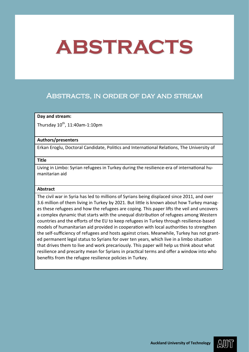# Abstracts, in order of day and stream

## **Day and stream:**

Thursday  $10^{th}$ , 11:40am-1:10pm

## **Authors/presenters**

Erkan Eroglu, Doctoral Candidate, Politics and International Relations, The University of

#### **Title**

Living in Limbo: Syrian refugees in Turkey during the resilience-era of international humanitarian aid

## **Abstract**

The civil war in Syria has led to millions of Syrians being displaced since 2011, and over 3.6 million of them living in Turkey by 2021. But little is known about how Turkey manages these refugees and how the refugees are coping. This paper lifts the veil and uncovers a complex dynamic that starts with the unequal distribution of refugees among Western countries and the efforts of the EU to keep refugees in Turkey through resilience-based models of humanitarian aid provided in cooperation with local authorities to strengthen the self-sufficiency of refugees and hosts against crises. Meanwhile, Turkey has not granted permanent legal status to Syrians for over ten years, which live in a limbo situation that drives them to live and work precariously. This paper will help us think about what resilience and precarity mean for Syrians in practical terms and offer a window into who benefits from the refugee resilience policies in Turkey.

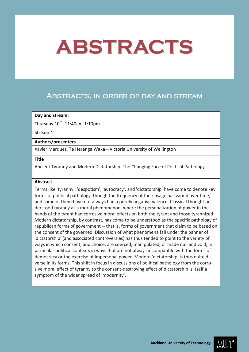# Abstracts, in order of day and stream

## **Day and stream:**

Thursday  $10^{th}$ , 11:40am-1:10pm

Stream 4

## **Authors/presenters**

Xavier Marquez, Te Herenga Waka—Victoria University of Wellington

#### **Title**

Ancient Tyranny and Modern Dictatorship: The Changing Face of Political Pathology

## **Abstract**

Terms like 'tyranny', 'despotism', 'autocracy', and 'dictatorship' have come to denote key forms of political pathology, though the frequency of their usage has varied over time, and some of them have not always had a purely negative valence. Classical thought understood tyranny as a moral phenomenon, where the personalization of power in the hands of the tyrant had corrosive moral effects on both the tyrant and those tyrannized. Modern dictatorship, by contrast, has come to be understood as the specific pathology of republican forms of government -- that is, forms of government that claim to be based on the consent of the governed. Discussion of what phenomena fall under the banner of 'dictatorship' (and associated controversies) has thus tended to point to the variety of ways in which consent, and choice, are coerced, manipulated, or made null and void, in particular political contexts in ways that are not always incompatible with the forms of democracy or the exercise of impersonal power. Modern 'dictatorship' is thus quite diverse in its forms. This shift in focus in discussions of political pathology from the corrosive moral effect of tyranny to the consent-destroying effect of dictatorship is itself a symptom of the wider spread of 'modernity'.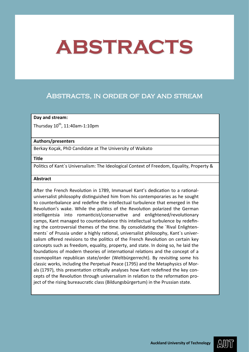# Abstracts, in order of day and stream

## **Day and stream:**

Thursday  $10^{th}$ , 11:40am-1:10pm

## **Authors/presenters**

Berkay Koçak, PhD Candidate at The University of Waikato

## **Title**

Politics of Kant`s Universalism: The Ideological Context of Freedom, Equality, Property &

## **Abstract**

After the French Revolution in 1789, Immanuel Kant's dedication to a rationaluniversalist philosophy distinguished him from his contemporaries as he sought to counterbalance and redefine the intellectual turbulence that emerged in the Revolution's wake. While the politics of the Revolution polarized the German intelligentsia into romanticist/conservative and enlightened/revolutionary camps, Kant managed to counterbalance this intellectual turbulence by redefining the controversial themes of the time. By consolidating the `Rival Enlightenments` of Prussia under a highly rational, universalist philosophy, Kant`s universalism offered revisions to the politics of the French Revolution on certain key concepts such as freedom, equality, property, and state. In doing so, he laid the foundations of modern theories of international relations and the concept of a cosmopolitan republican state/order (Weltbürgerrecht). By revisiting some his classic works, including the Perpetual Peace (1795) and the Metaphysics of Morals (1797), this presentation critically analyses how Kant redefined the key concepts of the Revolution through universalism in relation to the reformation project of the rising bureaucratic class (Bildungsbürgertum) in the Prussian state.